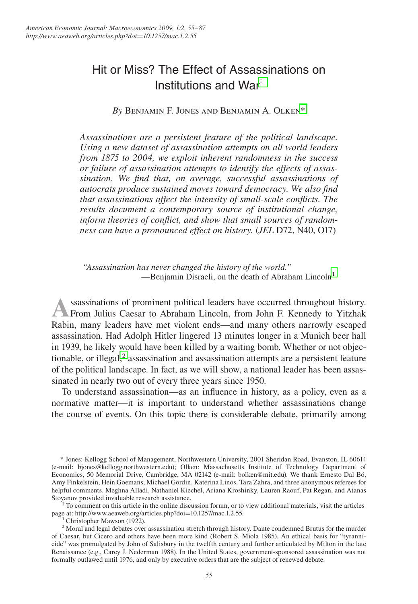# Hit or Miss? The Effect of Assassinations on Institutions and War†

*By* Benjamin F. Jones and Benjamin A. Olken\*

*Assassinations are a persistent feature of the political landscape. Using a new dataset of assassination attempts on all world leaders from 1875 to 2004, we exploit inherent randomness in the success or failure of assassination attempts to identify the effects of assassination. We find that, on average, successful assassinations of autocrats produce sustained moves toward democracy. We also find that assassinations affect the intensity of small-scale conflicts. The results document a contemporary source of institutional change, inform theories of conflict, and show that small sources of randomness can have a pronounced effect on history.* (*JEL* D72, N40, O17)

*"Assassination has never changed the history of the world."* —Benjamin Disraeli, on the death of Abraham Lincoln<sup>1</sup>

**A**ssassinations of prominent political leaders have occurred throughout history. From Julius Caesar to Abraham Lincoln, from John F. Kennedy to Yitzhak Rabin, many leaders have met violent ends—and many others narrowly escaped assassination. Had Adolph Hitler lingered 13 minutes longer in a Munich beer hall in 1939, he likely would have been killed by a waiting bomb. Whether or not objectionable, or illegal,<sup>2</sup> assassination and assassination attempts are a persistent feature of the political landscape. In fact, as we will show, a national leader has been assassinated in nearly two out of every three years since 1950.

To understand assassination—as an influence in history, as a policy, even as a normative matter—it is important to understand whether assassinations change the course of events. On this topic there is considerable debate, primarily among

\* Jones: Kellogg School of Management, Northwestern University, 2001 Sheridan Road, Evanston, IL 60614 (e-mail: bjones@kellogg.northwestern.edu); Olken: Massachusetts Institute of Technology Department of Economics, 50 Memorial Drive, Cambridge, MA 02142 (e-mail: bolken@mit.edu). We thank Ernesto Dal Bó, Amy Finkelstein, Hein Goemans, Michael Gordin, Katerina Linos, Tara Zahra, and three anonymous referees for helpful comments. Meghna Alladi, Nathaniel Kiechel, Ariana Kroshinky, Lauren Raouf, Pat Regan, and Atanas Stoyanov provided invaluable research assistance.<br><sup>†</sup> To comment on this article in the online discussion forum, or to view additional materials, visit the articles

page at: http://www.aeaweb.org/articles.php?doi=10.1257/mac.1.2.55.

Christopher Mawson (1922).

<sup>2</sup> Moral and legal debates over assassination stretch through history. Dante condemned Brutus for the murder of Caesar, but Cicero and others have been more kind (Robert S. Miola 1985). An ethical basis for "tyrannicide" was promulgated by John of Salisbury in the twelfth century and further articulated by Milton in the late Renaissance (e.g., Carey J. Nederman 1988). In the United States, government-sponsored assassination was not formally outlawed until 1976, and only by executive orders that are the subject of renewed debate.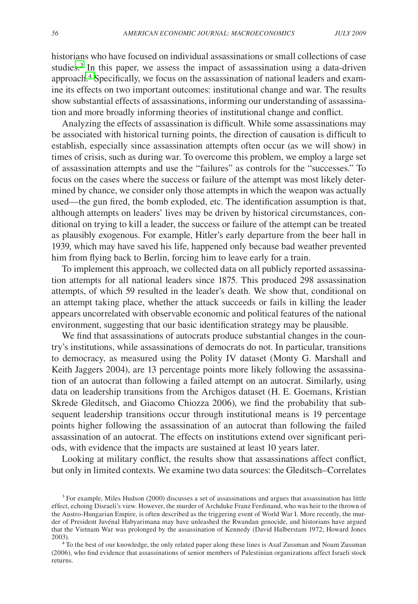historians who have focused on individual assassinations or small collections of case studies.<sup>3</sup> In this paper, we assess the impact of assassination using a data-driven approach.<sup>4</sup> Specifically, we focus on the assassination of national leaders and examine its effects on two important outcomes: institutional change and war. The results show substantial effects of assassinations, informing our understanding of assassination and more broadly informing theories of institutional change and conflict.

Analyzing the effects of assassination is difficult. While some assassinations may be associated with historical turning points, the direction of causation is difficult to establish, especially since assassination attempts often occur (as we will show) in times of crisis, such as during war. To overcome this problem, we employ a large set of assassination attempts and use the "failures" as controls for the "successes." To focus on the cases where the success or failure of the attempt was most likely determined by chance, we consider only those attempts in which the weapon was actually used—the gun fired, the bomb exploded, etc. The identification assumption is that, although attempts on leaders' lives may be driven by historical circumstances, conditional on trying to kill a leader, the success or failure of the attempt can be treated as plausibly exogenous. For example, Hitler's early departure from the beer hall in 1939, which may have saved his life, happened only because bad weather prevented him from flying back to Berlin, forcing him to leave early for a train.

To implement this approach, we collected data on all publicly reported assassination attempts for all national leaders since 1875. This produced 298 assassination attempts, of which 59 resulted in the leader's death. We show that, conditional on an attempt taking place, whether the attack succeeds or fails in killing the leader appears uncorrelated with observable economic and political features of the national environment, suggesting that our basic identification strategy may be plausible.

We find that assassinations of autocrats produce substantial changes in the country's institutions, while assassinations of democrats do not. In particular, transitions to democracy, as measured using the Polity IV dataset (Monty G. Marshall and Keith Jaggers 2004), are 13 percentage points more likely following the assassination of an autocrat than following a failed attempt on an autocrat. Similarly, using data on leadership transitions from the Archigos dataset (H. E. Goemans, Kristian Skrede Gleditsch, and Giacomo Chiozza 2006), we find the probability that subsequent leadership transitions occur through institutional means is 19 percentage points higher following the assassination of an autocrat than following the failed assassination of an autocrat. The effects on institutions extend over significant periods, with evidence that the impacts are sustained at least 10 years later.

Looking at military conflict, the results show that assassinations affect conflict, but only in limited contexts. We examine two data sources: the Gleditsch–Correlates

<sup>&</sup>lt;sup>3</sup> For example, Miles Hudson (2000) discusses a set of assassinations and argues that assassination has little effect, echoing Disraeli's view. However, the murder of Archduke Franz Ferdinand, who was heir to the thrown of the Austro-Hungarian Empire, is often described as the triggering event of World War I. More recently, the murder of President Juvénal Habyarimana may have unleashed the Rwandan genocide, and historians have argued that the Vietnam War was prolonged by the assassination of Kennedy (David Halberstam 1972; Howard Jones 2003). 4 To the best of our knowledge, the only related paper along these lines is Asaf Zussman and Noam Zussman

<sup>(2006),</sup> who find evidence that assassinations of senior members of Palestinian organizations affect Israeli stock returns.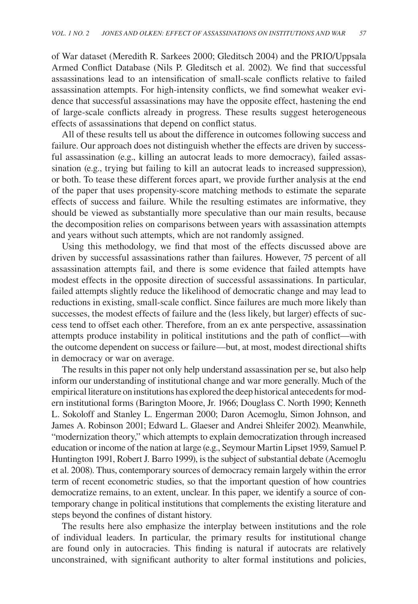of War dataset (Meredith R. Sarkees 2000; Gleditsch 2004) and the PRIO/Uppsala Armed Conflict Database (Nils P. Gleditsch et al. 2002). We find that successful assassinations lead to an intensification of small-scale conflicts relative to failed assassination attempts. For high-intensity conflicts, we find somewhat weaker evidence that successful assassinations may have the opposite effect, hastening the end of large-scale conflicts already in progress. These results suggest heterogeneous effects of assassinations that depend on conflict status.

All of these results tell us about the difference in outcomes following success and failure. Our approach does not distinguish whether the effects are driven by successful assassination (e.g., killing an autocrat leads to more democracy), failed assassination (e.g., trying but failing to kill an autocrat leads to increased suppression), or both. To tease these different forces apart, we provide further analysis at the end of the paper that uses propensity-score matching methods to estimate the separate effects of success and failure. While the resulting estimates are informative, they should be viewed as substantially more speculative than our main results, because the decomposition relies on comparisons between years with assassination attempts and years without such attempts, which are not randomly assigned.

Using this methodology, we find that most of the effects discussed above are driven by successful assassinations rather than failures. However, 75 percent of all assassination attempts fail, and there is some evidence that failed attempts have modest effects in the opposite direction of successful assassinations. In particular, failed attempts slightly reduce the likelihood of democratic change and may lead to reductions in existing, small-scale conflict. Since failures are much more likely than successes, the modest effects of failure and the (less likely, but larger) effects of success tend to offset each other. Therefore, from an ex ante perspective, assassination attempts produce instability in political institutions and the path of conflict—with the outcome dependent on success or failure—but, at most, modest directional shifts in democracy or war on average.

The results in this paper not only help understand assassination per se, but also help inform our understanding of institutional change and war more generally. Much of the empirical literature on institutions has explored the deep historical antecedents for modern institutional forms (Barington Moore, Jr. 1966; Douglass C. North 1990; Kenneth L. Sokoloff and Stanley L. Engerman 2000; Daron Acemoglu, Simon Johnson, and James A. Robinson 2001; Edward L. Glaeser and Andrei Shleifer 2002). Meanwhile, "modernization theory," which attempts to explain democratization through increased education or income of the nation at large (e.g., Seymour Martin Lipset 1959, Samuel P. Huntington 1991, Robert J. Barro 1999), is the subject of substantial debate (Acemoglu et al. 2008). Thus, contemporary sources of democracy remain largely within the error term of recent econometric studies, so that the important question of how countries democratize remains, to an extent, unclear. In this paper, we identify a source of contemporary change in political institutions that complements the existing literature and steps beyond the confines of distant history.

The results here also emphasize the interplay between institutions and the role of individual leaders. In particular, the primary results for institutional change are found only in autocracies. This finding is natural if autocrats are relatively unconstrained, with significant authority to alter formal institutions and policies,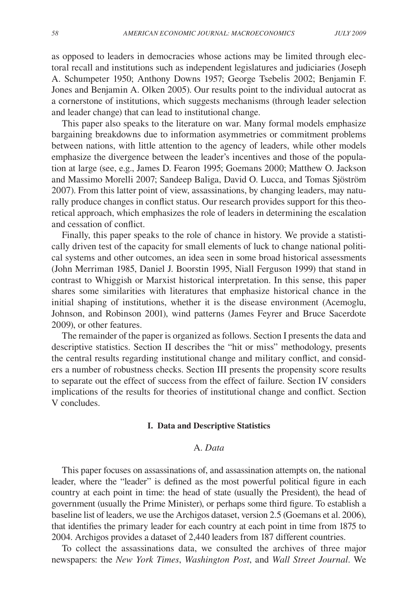as opposed to leaders in democracies whose actions may be limited through electoral recall and institutions such as independent legislatures and judiciaries (Joseph A. Schumpeter 1950; Anthony Downs 1957; George Tsebelis 2002; Benjamin F. Jones and Benjamin A. Olken 2005). Our results point to the individual autocrat as a cornerstone of institutions, which suggests mechanisms (through leader selection and leader change) that can lead to institutional change.

This paper also speaks to the literature on war. Many formal models emphasize bargaining breakdowns due to information asymmetries or commitment problems between nations, with little attention to the agency of leaders, while other models emphasize the divergence between the leader's incentives and those of the population at large (see, e.g., James D. Fearon 1995; Goemans 2000; Matthew O. Jackson and Massimo Morelli 2007; Sandeep Baliga, David O. Lucca, and Tomas Sjöström 2007). From this latter point of view, assassinations, by changing leaders, may naturally produce changes in conflict status. Our research provides support for this theoretical approach, which emphasizes the role of leaders in determining the escalation and cessation of conflict.

Finally, this paper speaks to the role of chance in history. We provide a statistically driven test of the capacity for small elements of luck to change national political systems and other outcomes, an idea seen in some broad historical assessments (John Merriman 1985, Daniel J. Boorstin 1995, Niall Ferguson 1999) that stand in contrast to Whiggish or Marxist historical interpretation. In this sense, this paper shares some similarities with literatures that emphasize historical chance in the initial shaping of institutions, whether it is the disease environment (Acemoglu, Johnson, and Robinson 2001), wind patterns (James Feyrer and Bruce Sacerdote 2009), or other features.

The remainder of the paper is organized as follows. Section I presents the data and descriptive statistics. Section II describes the "hit or miss" methodology, presents the central results regarding institutional change and military conflict, and considers a number of robustness checks. Section III presents the propensity score results to separate out the effect of success from the effect of failure. Section IV considers implications of the results for theories of institutional change and conflict. Section V concludes.

#### **I. Data and Descriptive Statistics**

# A. *Data*

This paper focuses on assassinations of, and assassination attempts on, the national leader, where the "leader" is defined as the most powerful political figure in each country at each point in time: the head of state (usually the President), the head of government (usually the Prime Minister), or perhaps some third figure. To establish a baseline list of leaders, we use the Archigos dataset, version 2.5 (Goemans et al. 2006), that identifies the primary leader for each country at each point in time from 1875 to 2004. Archigos provides a dataset of 2,440 leaders from 187 different countries.

To collect the assassinations data, we consulted the archives of three major newspapers: the *New York Times*, *Washington Post*, and *Wall Street Journal*. We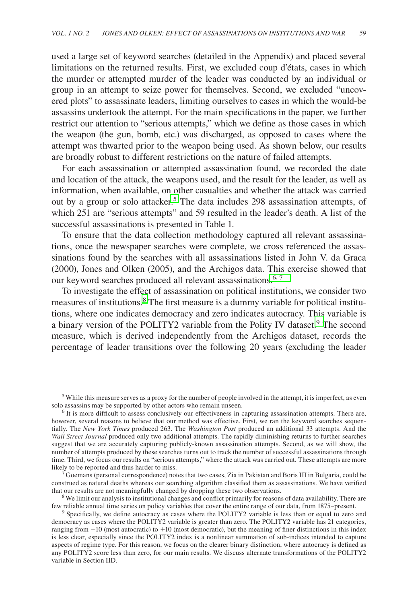used a large set of keyword searches (detailed in the Appendix) and placed several limitations on the returned results. First, we excluded coup d'états, cases in which the murder or attempted murder of the leader was conducted by an individual or group in an attempt to seize power for themselves. Second, we excluded "uncovered plots" to assassinate leaders, limiting ourselves to cases in which the would-be assassins undertook the attempt. For the main specifications in the paper, we further restrict our attention to "serious attempts," which we define as those cases in which the weapon (the gun, bomb, etc.) was discharged, as opposed to cases where the attempt was thwarted prior to the weapon being used. As shown below, our results are broadly robust to different restrictions on the nature of failed attempts.

For each assassination or attempted assassination found, we recorded the date and location of the attack, the weapons used, and the result for the leader, as well as information, when available, on other casualties and whether the attack was carried out by a group or solo attacker.<sup>5</sup> The data includes 298 assassination attempts, of which 251 are "serious attempts" and 59 resulted in the leader's death. A list of the successful assassinations is presented in Table 1.

To ensure that the data collection methodology captured all relevant assassinations, once the newspaper searches were complete, we cross referenced the assassinations found by the searches with all assassinations listed in John V. da Graca (2000), Jones and Olken (2005), and the Archigos data. This exercise showed that our keyword searches produced all relevant assassinations.<sup>6, 7</sup>

To investigate the effect of assassination on political institutions, we consider two measures of institutions.<sup>8</sup> The first measure is a dummy variable for political institutions, where one indicates democracy and zero indicates autocracy. This variable is a binary version of the POLITY2 variable from the Polity IV dataset.<sup>9</sup> The second measure, which is derived independently from the Archigos dataset, records the percentage of leader transitions over the following 20 years (excluding the leader

Goemans (personal correspondence) notes that two cases, Zia in Pakistan and Boris III in Bulgaria, could be construed as natural deaths whereas our searching algorithm classified them as assassinations. We have verified

that our results are not meaningfully changed by dropping these two observations.<br><sup>8</sup> We limit our analysis to institutional changes and conflict primarily for reasons of data availability. There are few reliable annual ti

 $9$  Specifically, we define autocracy as cases where the POLITY2 variable is less than or equal to zero and democracy as cases where the POLITY2 variable is greater than zero. The POLITY2 variable has 21 categories, ranging from  $-10$  (most autocratic) to  $+10$  (most democratic), but the meaning of finer distinctions in this index is less clear, especially since the POLITY2 index is a nonlinear summation of sub-indices intended to capture aspects of regime type. For this reason, we focus on the clearer binary distinction, where autocracy is defined as any POLITY2 score less than zero, for our main results. We discuss alternate transformations of the POLITY2 variable in Section IID.

<sup>5</sup> While this measure serves as a proxy for the number of people involved in the attempt, it is imperfect, as even solo assassins may be supported by other actors who remain unseen.<br><sup>6</sup> It is more difficult to assess conclusively our effectiveness in capturing assassination attempts. There are,

however, several reasons to believe that our method was effective. First, we ran the keyword searches sequentially. The *New York Times* produced 263. The *Washington Post* produced an additional 33 attempts. And the *Wall Street Journal* produced only two additional attempts. The rapidly diminishing returns to further searches suggest that we are accurately capturing publicly-known assassination attempts. Second, as we will show, the number of attempts produced by these searches turns out to track the number of successful assassinations through time. Third, we focus our results on "serious attempts," where the attack was carried out. These attempts are more likely to be reported and thus harder to miss.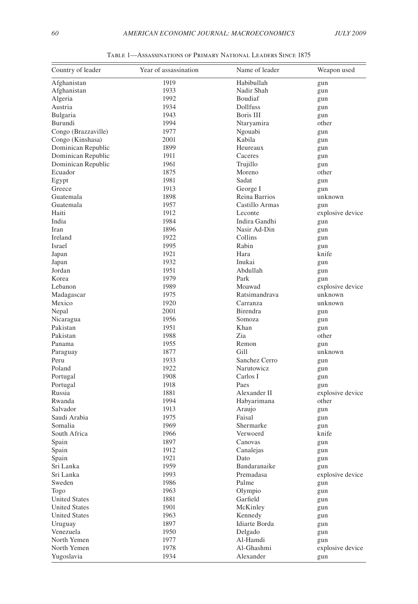| Country of leader    | Year of assassination | Name of leader           | Weapon used      |
|----------------------|-----------------------|--------------------------|------------------|
| Afghanistan          | 1919                  | Habibullah               | gun              |
| Afghanistan          | 1933                  | Nadir Shah               | gun              |
| Algeria              | 1992                  | Boudiaf                  | gun              |
| Austria              | 1934                  | Dollfuss                 | gun              |
| Bulgaria             | 1943                  | Boris III                | gun              |
| Burundi              | 1994                  | Ntaryamira               | other            |
| Congo (Brazzaville)  | 1977                  | Ngouabi                  | gun              |
| Congo (Kinshasa)     | 2001                  | Kabila                   | gun              |
| Dominican Republic   | 1899                  | Heureaux                 | gun              |
| Dominican Republic   | 1911                  | Caceres                  | gun              |
| Dominican Republic   | 1961                  | Trujillo                 | gun              |
| Ecuador              | 1875                  | Moreno                   | other            |
| Egypt                | 1981                  | Sadat                    | gun              |
| Greece               | 1913                  | George I                 | gun              |
| Guatemala            | 1898                  | Reina Barrios            | unknown          |
| Guatemala            | 1957                  | Castillo Armas           | gun              |
| Haiti                | 1912                  | Leconte                  | explosive device |
| India                | 1984                  | Indira Gandhi            | gun              |
| Iran                 | 1896                  | Nasir Ad-Din             | gun              |
| Ireland              | 1922                  | Collins                  | gun              |
| Israel               | 1995                  | Rabin                    | gun              |
| Japan                | 1921                  | Hara                     | knife            |
| Japan                | 1932                  | Inukai                   | gun              |
| Jordan               | 1951                  | Abdullah                 | gun              |
| Korea                | 1979                  | Park                     | gun              |
| Lebanon              | 1989                  | Moawad                   | explosive device |
| Madagascar           | 1975                  | Ratsimandrava            | unknown          |
| Mexico               | 1920                  | Carranza                 | unknown          |
| Nepal                | 2001                  | Birendra                 | gun              |
| Nicaragua            | 1956                  | Somoza                   | gun              |
| Pakistan             | 1951                  | Khan                     | gun              |
| Pakistan             | 1988                  | Zia                      | other            |
| Panama               | 1955                  | Remon                    | gun              |
| Paraguay             | 1877                  | Gill                     | unknown          |
| Peru                 | 1933                  | Sanchez Cerro            | gun              |
| Poland               | 1922                  | Narutowicz               | gun              |
| Portugal             | 1908                  | Carlos I                 | gun              |
| Portugal             | 1918                  | Paes                     | gun              |
| Russia               | 1881                  | Alexander II             | explosive device |
| Rwanda               | 1994                  | Habyarimana              | other            |
| Salvador             | 1913                  | Araujo                   | gun              |
| Saudi Arabia         | 1975                  | Faisal                   | gun              |
| Somalia              | 1969                  | Shermarke                | gun              |
| South Africa         | 1966                  | Verwoerd                 | knife            |
| Spain                | 1897                  | Canovas                  | gun              |
| Spain                | 1912                  | Canalejas                | gun              |
| Spain                | 1921                  | Dato                     | gun              |
| Sri Lanka            | 1959                  | Bandaranaike             | gun              |
| Sri Lanka            | 1993                  | Premadasa                | explosive device |
| Sweden               | 1986                  | Palme                    | gun              |
| Togo                 | 1963                  | Olympio                  | gun              |
| <b>United States</b> | 1881                  | Garfield                 | gun              |
| <b>United States</b> | 1901                  | McKinley                 | gun              |
| <b>United States</b> | 1963                  | Kennedy<br>Idiarte Borda | gun              |
| Uruguay              | 1897                  |                          | gun              |
| Venezuela            | 1950                  | Delgado                  | gun              |
| North Yemen          | 1977                  | Al-Hamdi                 | gun              |
| North Yemen          | 1978                  | Al-Ghashmi               | explosive device |
| Yugoslavia           | 1934                  | Alexander                | gun              |

Table 1—Assassinations of Primary National Leaders Since 1875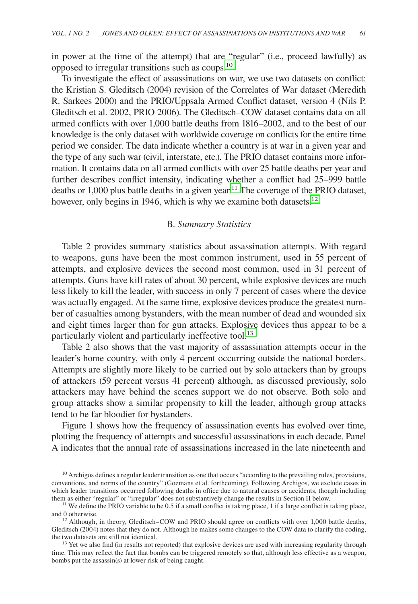in power at the time of the attempt) that are "regular" (i.e., proceed lawfully) as opposed to irregular transitions such as coups.10

To investigate the effect of assassinations on war, we use two datasets on conflict: the Kristian S. Gleditsch (2004) revision of the Correlates of War dataset (Meredith R. Sarkees 2000) and the PRIO/Uppsala Armed Conflict dataset, version 4 (Nils P. Gleditsch et al. 2002, PRIO 2006). The Gleditsch–COW dataset contains data on all armed conflicts with over 1,000 battle deaths from 1816–2002, and to the best of our knowledge is the only dataset with worldwide coverage on conflicts for the entire time period we consider. The data indicate whether a country is at war in a given year and the type of any such war (civil, interstate, etc.). The PRIO dataset contains more information. It contains data on all armed conflicts with over 25 battle deaths per year and further describes conflict intensity, indicating whether a conflict had 25–999 battle deaths or  $1,000$  plus battle deaths in a given year.<sup>11</sup> The coverage of the PRIO dataset, however, only begins in 1946, which is why we examine both datasets.<sup>12</sup>

# B. *Summary Statistics*

Table 2 provides summary statistics about assassination attempts. With regard to weapons, guns have been the most common instrument, used in 55 percent of attempts, and explosive devices the second most common, used in 31 percent of attempts. Guns have kill rates of about 30 percent, while explosive devices are much less likely to kill the leader, with success in only 7 percent of cases where the device was actually engaged. At the same time, explosive devices produce the greatest number of casualties among bystanders, with the mean number of dead and wounded six and eight times larger than for gun attacks. Explosive devices thus appear to be a particularly violent and particularly ineffective tool.<sup>13</sup>

Table 2 also shows that the vast majority of assassination attempts occur in the leader's home country, with only 4 percent occurring outside the national borders. Attempts are slightly more likely to be carried out by solo attackers than by groups of attackers (59 percent versus 41 percent) although, as discussed previously, solo attackers may have behind the scenes support we do not observe. Both solo and group attacks show a similar propensity to kill the leader, although group attacks tend to be far bloodier for bystanders.

Figure 1 shows how the frequency of assassination events has evolved over time, plotting the frequency of attempts and successful assassinations in each decade. Panel A indicates that the annual rate of assassinations increased in the late nineteenth and

time. This may reflect the fact that bombs can be triggered remotely so that, although less effective as a weapon, bombs put the assassin(s) at lower risk of being caught.

 $10$  Archigos defines a regular leader transition as one that occurs "according to the prevailing rules, provisions, conventions, and norms of the country" (Goemans et al. forthcoming). Following Archigos, we exclude cases in which leader transitions occurred following deaths in office due to natural causes or accidents, though including them as either "regular" or "irregular" does not substantively change the results in Section II below.

<sup>&</sup>lt;sup>11</sup> We define the PRIO variable to be 0.5 if a small conflict is taking place, 1 if a large conflict is taking place, and 0 otherwise.

 $12$  Although, in theory, Gleditsch–COW and PRIO should agree on conflicts with over 1,000 battle deaths, Gleditsch (2004) notes that they do not. Although he makes some changes to the COW data to clarify the coding, the two datasets are still not identical.<br><sup>13</sup> Yet we also find (in results not reported) that explosive devices are used with increasing regularity through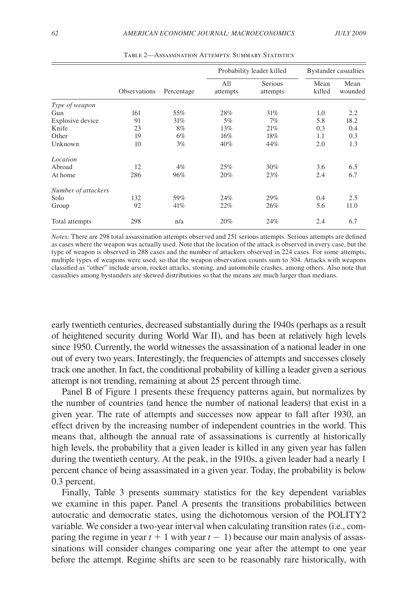|                     |              |            |                 | Probability leader killed | Bystander casualties |                 |
|---------------------|--------------|------------|-----------------|---------------------------|----------------------|-----------------|
|                     | Observations | Percentage | All<br>attempts | Serious<br>attempts       | Mean<br>killed       | Mean<br>wounded |
| Type of weapon      |              |            |                 |                           |                      |                 |
| Gun                 | 161          | 55%        | 28%             | 31%                       | 1.0                  | 2.2             |
| Explosive device    | 91           | 31%        | 5%              | 7%                        | 5.8                  | 18.2            |
| Knife               | 23           | 8%         | 13%             | 21%                       | 0.3                  | 0.4             |
| Other               | 19           | 6%         | 16%             | 18%                       | 1.1                  | 0.3             |
| Unknown             | 10           | 3%         | 40%             | 44%                       | 2.0                  | 1.3             |
| Location            |              |            |                 |                           |                      |                 |
| Abroad              | 12           | 4%         | 25%             | 30%                       | 3.6                  | 6.5             |
| At home             | 286          | 96%        | 20%             | 23%                       | 2.4                  | 6.7             |
| Number of attackers |              |            |                 |                           |                      |                 |
| Solo                | 132          | 59%        | 24%             | 29%                       | 0.4                  | 2.5             |
| Group               | 92           | 41%        | 22%             | 26%                       | 5.6                  | 11.0            |
| Total attempts      | 298          | n/a        | 20%             | 24%                       | 2.4                  | 6.7             |

Table 2—Assassination Attempts: Summary Statistics

*Notes:* There are 298 total assassination attempts observed and 251 serious attempts. Serious attempts are defined as cases where the weapon was actually used. Note that the location of the attack is observed in every case, but the type of weapon is observed in 288 cases and the number of attackers observed in 224 cases. For some attempts, multiple types of weapons were used, so that the weapon observation counts sum to 304. Attacks with weapons classified as "other" include arson, rocket attacks, stoning, and automobile crashes, among others. Also note that casualties among bystanders are skewed distributions so that the means are much larger than medians.

early twentieth centuries, decreased substantially during the 1940s (perhaps as a result of heightened security during World War II), and has been at relatively high levels since 1950. Currently, the world witnesses the assassination of a national leader in one out of every two years. Interestingly, the frequencies of attempts and successes closely track one another. In fact, the conditional probability of killing a leader given a serious attempt is not trending, remaining at about 25 percent through time.

Panel B of Figure 1 presents these frequency patterns again, but normalizes by the number of countries (and hence the number of national leaders) that exist in a given year. The rate of attempts and successes now appear to fall after 1930, an effect driven by the increasing number of independent countries in the world. This means that, although the annual rate of assassinations is currently at historically high levels, the probability that a given leader is killed in any given year has fallen during the twentieth century. At the peak, in the 1910s, a given leader had a nearly 1 percent chance of being assassinated in a given year. Today, the probability is below 0.3 percent.

Finally, Table 3 presents summary statistics for the key dependent variables we examine in this paper. Panel A presents the transitions probabilities between autocratic and democratic states, using the dichotomous version of the POLITY2 variable. We consider a two-year interval when calculating transition rates (i.e., comparing the regime in year  $t + 1$  with year  $t - 1$ ) because our main analysis of assassinations will consider changes comparing one year after the attempt to one year before the attempt. Regime shifts are seen to be reasonably rare historically, with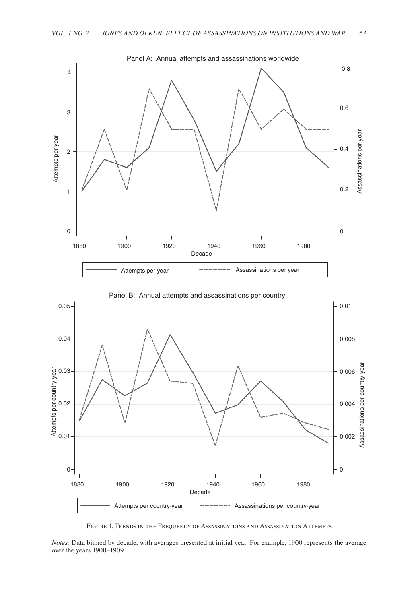



Figure 1. Trends in the Frequency of Assassinations and Assassination Attempts

*Notes:* Data binned by decade, with averages presented at initial year. For example, 1900 represents the average over the years 1900–1909.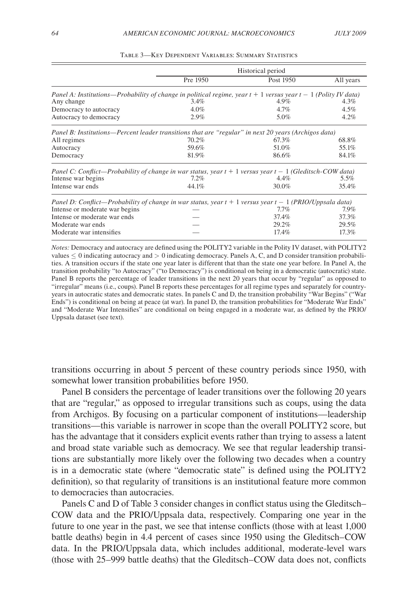|                                                                                                                    | Historical period |           |           |  |  |
|--------------------------------------------------------------------------------------------------------------------|-------------------|-----------|-----------|--|--|
|                                                                                                                    | Pre 1950          | Post 1950 | All years |  |  |
| Panel A: Institutions—Probability of change in political regime, year $t + 1$ versus year $t - 1$ (Polity IV data) |                   |           |           |  |  |
| Any change                                                                                                         | $3.4\%$           | $4.9\%$   | 4.3%      |  |  |
| Democracy to autocracy                                                                                             | 4.0%              | $4.7\%$   | 4.5%      |  |  |
| Autocracy to democracy                                                                                             | 2.9%              | 5.0%      | 4.2%      |  |  |
| Panel B: Institutions—Percent leader transitions that are "regular" in next 20 years (Archigos data)               |                   |           |           |  |  |
| All regimes                                                                                                        | 70.2%             | 67.3%     | 68.8%     |  |  |
| Autocracy                                                                                                          | 59.6%             | 51.0%     | 55.1%     |  |  |
| Democracy                                                                                                          | 81.9%             | 86.6%     | 84.1%     |  |  |
| Panel C: Conflict—Probability of change in war status, year $t + 1$ versus year $t - 1$ (Gleditsch-COW data)       |                   |           |           |  |  |
| Intense war begins                                                                                                 | $7.2\%$           | $4.4\%$   | 5.5%      |  |  |
| Intense war ends                                                                                                   | 44.1%             | 30.0%     | 35.4%     |  |  |
| Panel D: Conflict—Probability of change in war status, year $t + 1$ versus year $t - 1$ (PRIO/Uppsala data)        |                   |           |           |  |  |
| Intense or moderate war begins                                                                                     |                   | $7.7\%$   | 7.9%      |  |  |
| Intense or moderate war ends                                                                                       |                   | 37.4%     | 37.3%     |  |  |
| Moderate war ends                                                                                                  |                   | 29.2%     | 29.5%     |  |  |
| Moderate war intensifies                                                                                           |                   | 17.4%     | 17.3%     |  |  |

Table 3—Key Dependent Variables: Summary Statistics

*Notes:* Democracy and autocracy are defined using the POLITY2 variable in the Polity IV dataset, with POLITY2 values  $\leq 0$  indicating autocracy and  $> 0$  indicating democracy. Panels A, C, and D consider transition probabilities. A transition occurs if the state one year later is different that than the state one year before. In Panel A, the transition probability "to Autocracy" ("to Democracy") is conditional on being in a democratic (autocratic) state. Panel B reports the percentage of leader transitions in the next 20 years that occur by "regular" as opposed to "irregular" means (i.e., coups). Panel B reports these percentages for all regime types and separately for countryyears in autocratic states and democratic states. In panels C and D, the transition probability "War Begins" ("War Ends") is conditional on being at peace (at war). In panel D, the transition probabilities for "Moderate War Ends" and "Moderate War Intensifies" are conditional on being engaged in a moderate war, as defined by the PRIO/ Uppsala dataset (see text).

transitions occurring in about 5 percent of these country periods since 1950, with somewhat lower transition probabilities before 1950.

Panel B considers the percentage of leader transitions over the following 20 years that are "regular," as opposed to irregular transitions such as coups, using the data from Archigos. By focusing on a particular component of institutions—leadership transitions—this variable is narrower in scope than the overall POLITY2 score, but has the advantage that it considers explicit events rather than trying to assess a latent and broad state variable such as democracy. We see that regular leadership transitions are substantially more likely over the following two decades when a country is in a democratic state (where "democratic state" is defined using the POLITY2 definition), so that regularity of transitions is an institutional feature more common to democracies than autocracies.

Panels C and D of Table 3 consider changes in conflict status using the Gleditsch– COW data and the PRIO/Uppsala data, respectively. Comparing one year in the future to one year in the past, we see that intense conflicts (those with at least 1,000 battle deaths) begin in 4.4 percent of cases since 1950 using the Gleditsch–COW data. In the PRIO/Uppsala data, which includes additional, moderate-level wars (those with 25–999 battle deaths) that the Gleditsch–COW data does not, conflicts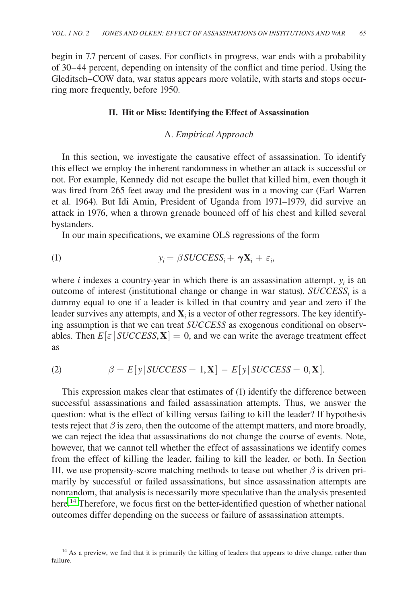begin in 7.7 percent of cases. For conflicts in progress, war ends with a probability of 30–44 percent, depending on intensity of the conflict and time period. Using the Gleditsch–COW data, war status appears more volatile, with starts and stops occurring more frequently, before 1950.

#### **II. Hit or Miss: Identifying the Effect of Assassination**

# A. *Empirical Approach*

In this section, we investigate the causative effect of assassination. To identify this effect we employ the inherent randomness in whether an attack is successful or not. For example, Kennedy did not escape the bullet that killed him, even though it was fired from 265 feet away and the president was in a moving car (Earl Warren et al. 1964). But Idi Amin, President of Uganda from 1971–1979, did survive an attack in 1976, when a thrown grenade bounced off of his chest and killed several bystanders.

In our main specifications, we examine OLS regressions of the form

$$
y_i = \beta \text{SUCCESS}_i + \gamma \mathbf{X}_i + \varepsilon_i,
$$

where  $i$  indexes a country-year in which there is an assassination attempt,  $y_i$  is an outcome of interest (institutional change or change in war status),  $\text{SUCCESS}_i$  is a dummy equal to one if a leader is killed in that country and year and zero if the leader survives any attempts, and  $\mathbf{X}_i$  is a vector of other regressors. The key identifying assumption is that we can treat *SUCCESS* as exogenous conditional on observables. Then  $E[\varepsilon]$  *SUCCESS*, **X** $] = 0$ , and we can write the average treatment effect as

(2) 
$$
\beta = E[y|SUCCESS = 1, \mathbf{X}] - E[y|SUCCESS = 0, \mathbf{X}].
$$

This expression makes clear that estimates of (1) identify the difference between successful assassinations and failed assassination attempts. Thus, we answer the question: what is the effect of killing versus failing to kill the leader? If hypothesis tests reject that  $\beta$  is zero, then the outcome of the attempt matters, and more broadly, we can reject the idea that assassinations do not change the course of events. Note, however, that we cannot tell whether the effect of assassinations we identify comes from the effect of killing the leader, failing to kill the leader, or both. In Section III, we use propensity-score matching methods to tease out whether  $\beta$  is driven primarily by successful or failed assassinations, but since assassination attempts are nonrandom, that analysis is necessarily more speculative than the analysis presented here.<sup>14</sup> Therefore, we focus first on the better-identified question of whether national outcomes differ depending on the success or failure of assassination attempts.

<sup>&</sup>lt;sup>14</sup> As a preview, we find that it is primarily the killing of leaders that appears to drive change, rather than failure.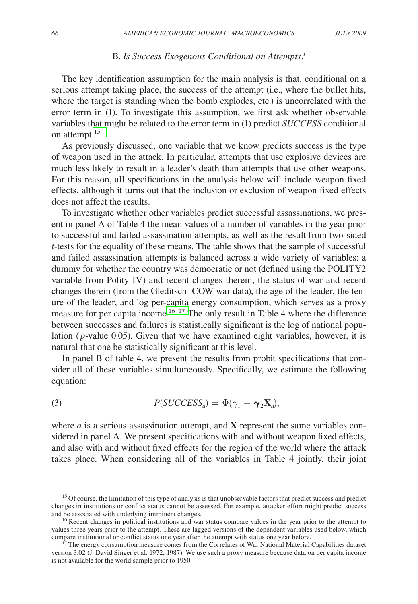## B. *Is Success Exogenous Conditional on Attempts?*

The key identification assumption for the main analysis is that, conditional on a serious attempt taking place, the success of the attempt (i.e., where the bullet hits, where the target is standing when the bomb explodes, etc.) is uncorrelated with the error term in (1). To investigate this assumption, we first ask whether observable variables that might be related to the error term in (1) predict *SUCCESS* conditional on attempt.<sup>15</sup>

As previously discussed, one variable that we know predicts success is the type of weapon used in the attack. In particular, attempts that use explosive devices are much less likely to result in a leader's death than attempts that use other weapons. For this reason, all specifications in the analysis below will include weapon fixed effects, although it turns out that the inclusion or exclusion of weapon fixed effects does not affect the results.

To investigate whether other variables predict successful assassinations, we present in panel A of Table 4 the mean values of a number of variables in the year prior to successful and failed assassination attempts, as well as the result from two-sided *t*-tests for the equality of these means. The table shows that the sample of successful and failed assassination attempts is balanced across a wide variety of variables: a dummy for whether the country was democratic or not (defined using the POLITY2 variable from Polity IV) and recent changes therein, the status of war and recent changes therein (from the Gleditsch–COW war data), the age of the leader, the tenure of the leader, and log per-capita energy consumption, which serves as a proxy measure for per capita income.<sup>16, 17</sup> The only result in Table 4 where the difference between successes and failures is statistically significant is the log of national population ( *p*-value 0.05). Given that we have examined eight variables, however, it is natural that one be statistically significant at this level.

In panel B of table 4, we present the results from probit specifications that consider all of these variables simultaneously. Specifically, we estimate the following equation:

(3) 
$$
P(SUCCESS_a) = \Phi(\gamma_1 + \gamma_2 \mathbf{X}_a),
$$

where *a* is a serious assassination attempt, and **X** represent the same variables considered in panel A. We present specifications with and without weapon fixed effects, and also with and without fixed effects for the region of the world where the attack takes place. When considering all of the variables in Table 4 jointly, their joint

<sup>&</sup>lt;sup>15</sup> Of course, the limitation of this type of analysis is that unobservable factors that predict success and predict changes in institutions or conflict status cannot be assessed. For example, attacker effort might predict success and be associated with underlying imminent changes.

<sup>&</sup>lt;sup>16</sup> Recent changes in political institutions and war status compare values in the year prior to the attempt to values three years prior to the attempt. These are lagged versions of the dependent variables used below, which compare institutional or conflict status one year after the attempt with status one year before.

<sup>&</sup>lt;sup>17</sup> The energy consumption measure comes from the Correlates of War National Material Capabilities dataset version 3.02 (J. David Singer et al. 1972, 1987). We use such a proxy measure because data on per capita income is not available for the world sample prior to 1950.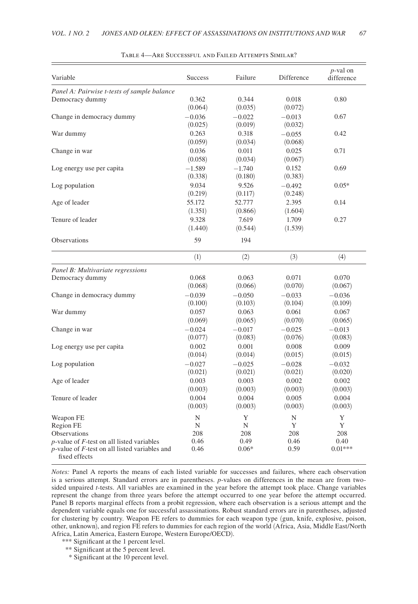| Variable                                                             | <b>Success</b> | Failure  | Difference | $p$ -val on<br>difference |
|----------------------------------------------------------------------|----------------|----------|------------|---------------------------|
| Panel A: Pairwise t-tests of sample balance                          |                |          |            |                           |
| Democracy dummy                                                      | 0.362          | 0.344    | 0.018      | 0.80                      |
|                                                                      | (0.064)        | (0.035)  | (0.072)    |                           |
| Change in democracy dummy                                            | $-0.036$       | $-0.022$ | $-0.013$   | 0.67                      |
|                                                                      | (0.025)        | (0.019)  | (0.032)    |                           |
| War dummy                                                            | 0.263          | 0.318    | $-0.055$   | 0.42                      |
|                                                                      | (0.059)        | (0.034)  | (0.068)    |                           |
| Change in war                                                        | 0.036          | 0.011    | 0.025      | 0.71                      |
|                                                                      | (0.058)        | (0.034)  | (0.067)    |                           |
| Log energy use per capita                                            | $-1.589$       | $-1.740$ | 0.152      | 0.69                      |
|                                                                      | (0.338)        | (0.180)  | (0.383)    |                           |
| Log population                                                       | 9.034          | 9.526    | $-0.492$   | $0.05*$                   |
|                                                                      | (0.219)        | (0.117)  | (0.248)    |                           |
| Age of leader                                                        | 55.172         | 52.777   | 2.395      | 0.14                      |
|                                                                      | (1.351)        | (0.866)  | (1.604)    |                           |
| Tenure of leader                                                     | 9.328          | 7.619    | 1.709      | 0.27                      |
|                                                                      | (1.440)        | (0.544)  | (1.539)    |                           |
| <b>Observations</b>                                                  | 59             | 194      |            |                           |
|                                                                      | (1)            | (2)      | (3)        | (4)                       |
| Panel B: Multivariate regressions                                    |                |          |            |                           |
| Democracy dummy                                                      | 0.068          | 0.063    | 0.071      | 0.070                     |
|                                                                      | (0.068)        | (0.066)  | (0.070)    | (0.067)                   |
| Change in democracy dummy                                            | $-0.039$       | $-0.050$ | $-0.033$   | $-0.036$                  |
|                                                                      | (0.100)        | (0.103)  | (0.104)    | (0.109)                   |
| War dummy                                                            | 0.057          | 0.063    | 0.061      | 0.067                     |
|                                                                      | (0.069)        | (0.065)  | (0.070)    | (0.065)                   |
| Change in war                                                        | $-0.024$       | $-0.017$ | $-0.025$   | $-0.013$                  |
|                                                                      | (0.077)        | (0.083)  | (0.076)    | (0.083)                   |
| Log energy use per capita                                            | 0.002          | 0.001    | 0.008      | 0.009                     |
|                                                                      | (0.014)        | (0.014)  | (0.015)    | (0.015)                   |
| Log population                                                       | $-0.027$       | $-0.025$ | $-0.028$   | $-0.032$                  |
|                                                                      | (0.021)        | (0.021)  | (0.021)    | (0.020)                   |
| Age of leader                                                        | 0.003          | 0.003    | 0.002      | 0.002                     |
|                                                                      | (0.003)        | (0.003)  | (0.003)    | (0.003)                   |
| Tenure of leader                                                     | 0.004          | 0.004    | 0.005      | 0.004                     |
|                                                                      | (0.003)        | (0.003)  | (0.003)    | (0.003)                   |
| Weapon FE                                                            | N              | Y        | N          | Y                         |
| Region FE                                                            | N              | N        | Y          | Y                         |
| <b>Observations</b>                                                  | 208            | 208      | 208        | 208                       |
| $p$ -value of $F$ -test on all listed variables                      | 0.46           | 0.49     | 0.46       | 0.40                      |
| $p$ -value of $F$ -test on all listed variables and<br>fixed effects | 0.46           | $0.06*$  | 0.59       | $0.01***$                 |

Table 4—Are Successful and Failed Attempts Similar?

*Notes:* Panel A reports the means of each listed variable for successes and failures, where each observation is a serious attempt. Standard errors are in parentheses. *p*-values on differences in the mean are from twosided unpaired *t*-tests. All variables are examined in the year before the attempt took place. Change variables represent the change from three years before the attempt occurred to one year before the attempt occurred. Panel B reports marginal effects from a probit regression, where each observation is a serious attempt and the dependent variable equals one for successful assassinations. Robust standard errors are in parentheses, adjusted for clustering by country. Weapon FE refers to dummies for each weapon type (gun, knife, explosive, poison, other, unknown), and region FE refers to dummies for each region of the world (Africa, Asia, Middle East/North Africa, Latin America, Eastern Europe, Western Europe/OECD).

- \*\*\* Significant at the 1 percent level.
- \*\* Significant at the 5 percent level.
- \* Significant at the 10 percent level.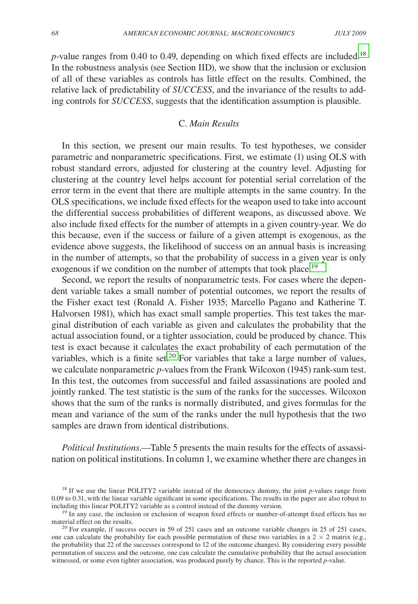*p*-value ranges from 0.40 to 0.49, depending on which fixed effects are included.<sup>18</sup> In the robustness analysis (see Section IID), we show that the inclusion or exclusion of all of these variables as controls has little effect on the results. Combined, the relative lack of predictability of *SUCCESS*, and the invariance of the results to adding controls for *SUCCESS*, suggests that the identification assumption is plausible.

# C. *Main Results*

In this section, we present our main results. To test hypotheses, we consider parametric and nonparametric specifications. First, we estimate (1) using OLS with robust standard errors, adjusted for clustering at the country level. Adjusting for clustering at the country level helps account for potential serial correlation of the error term in the event that there are multiple attempts in the same country. In the OLS specifications, we include fixed effects for the weapon used to take into account the differential success probabilities of different weapons, as discussed above. We also include fixed effects for the number of attempts in a given country-year. We do this because, even if the success or failure of a given attempt is exogenous, as the evidence above suggests, the likelihood of success on an annual basis is increasing in the number of attempts, so that the probability of success in a given year is only exogenous if we condition on the number of attempts that took place.<sup>19</sup>

Second, we report the results of nonparametric tests. For cases where the dependent variable takes a small number of potential outcomes, we report the results of the Fisher exact test (Ronald A. Fisher 1935; Marcello Pagano and Katherine T. Halvorsen 1981), which has exact small sample properties. This test takes the marginal distribution of each variable as given and calculates the probability that the actual association found, or a tighter association, could be produced by chance. This test is exact because it calculates the exact probability of each permutation of the variables, which is a finite set.<sup>20</sup> For variables that take a large number of values, we calculate nonparametric *p*-values from the Frank Wilcoxon (1945) rank-sum test. In this test, the outcomes from successful and failed assassinations are pooled and jointly ranked. The test statistic is the sum of the ranks for the successes. Wilcoxon shows that the sum of the ranks is normally distributed, and gives formulas for the mean and variance of the sum of the ranks under the null hypothesis that the two samples are drawn from identical distributions.

*Political Institutions*.—Table 5 presents the main results for the effects of assassination on political institutions. In column 1, we examine whether there are changes in

<sup>18</sup> If we use the linear POLITY2 variable instead of the democracy dummy, the joint *p*-values range from 0.09 to 0.31, with the linear variable significant in some specifications. The results in the paper are also robust to including this linear POLITY2 variable as a control instead of the dummy version.

<sup>&</sup>lt;sup>19</sup> In any case, the inclusion or exclusion of weapon fixed effects or number-of-attempt fixed effects has no material effect on the results.

<sup>&</sup>lt;sup>20</sup> For example, if success occurs in 59 of 251 cases and an outcome variable changes in 25 of 251 cases, one can calculate the probability for each possible permutation of these two variables in a  $2 \times 2$  matrix (e.g., the probability that 22 of the successes correspond to 12 of the outcome changes). By considering every possible permutation of success and the outcome, one can calculate the cumulative probability that the actual association witnessed, or some even tighter association, was produced purely by chance. This is the reported *p*-value.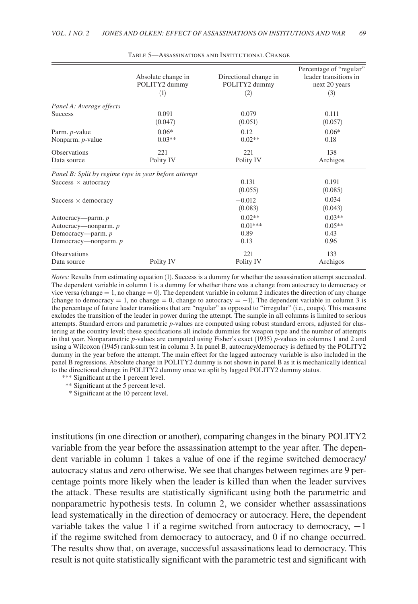|                                                      | Absolute change in | Directional change in | Percentage of "regular" |
|------------------------------------------------------|--------------------|-----------------------|-------------------------|
|                                                      | POLITY2 dummy      | POLITY2 dummy         | leader transitions in   |
|                                                      | (1)                | (2)                   | next 20 years<br>(3)    |
| Panel A: Average effects                             |                    |                       |                         |
| <b>Success</b>                                       | 0.091              | 0.079                 | 0.111                   |
|                                                      | (0.047)            | (0.051)               | (0.057)                 |
| Parm. p-value                                        | $0.06*$            | 0.12                  | $0.06*$                 |
| Nonparm. p-value                                     | $0.03**$           | $0.02**$              | 0.18                    |
| <b>Observations</b>                                  | 221                | 221                   | 138                     |
| Data source                                          | Polity IV          | Polity IV             | Archigos                |
| Panel B: Split by regime type in year before attempt |                    |                       |                         |
| Success $\times$ autocracy                           |                    | 0.131<br>(0.055)      | 0.191<br>(0.085)        |
| Success $\times$ democracy                           |                    | $-0.012$<br>(0.083)   | 0.034<br>(0.043)        |
| Autocracy—parm. p                                    |                    | $0.02**$              | $0.03**$                |
| Autocracy—nonparm. p                                 |                    | $0.01***$             | $0.05**$                |
| Democracy—parm. $p$                                  |                    | 0.89                  | 0.43                    |
| Democracy—nonparm. p                                 |                    | 0.13                  | 0.96                    |
| <b>Observations</b>                                  | Polity IV          | 221                   | 133                     |
| Data source                                          |                    | Polity IV             | Archigos                |

Table 5—Assassinations and Institutional Change

*Notes:* Results from estimating equation (1). Success is a dummy for whether the assassination attempt succeeded. The dependent variable in column 1 is a dummy for whether there was a change from autocracy to democracy or vice versa (change  $= 1$ , no change  $= 0$ ). The dependent variable in column 2 indicates the direction of any change (change to democracy = 1, no change = 0, change to autocracy =  $-1$ ). The dependent variable in column 3 is the percentage of future leader transitions that are "regular" as opposed to "irregular" (i.e., coups). This measure excludes the transition of the leader in power during the attempt. The sample in all columns is limited to serious attempts. Standard errors and parametric *p*-values are computed using robust standard errors, adjusted for clustering at the country level; these specifications all include dummies for weapon type and the number of attempts in that year. Nonparametric *p*-values are computed using Fisher's exact (1935) *p*-values in columns 1 and 2 and using a Wilcoxon (1945) rank-sum test in column 3. In panel B, autocracy/democracy is defined by the POLITY2 dummy in the year before the attempt. The main effect for the lagged autocracy variable is also included in the panel B regressions. Absolute change in POLITY2 dummy is not shown in panel B as it is mechanically identical to the directional change in POLITY2 dummy once we split by lagged POLITY2 dummy status.

\*\*\* Significant at the 1 percent level.

\*\* Significant at the 5 percent level.

\* Significant at the 10 percent level.

institutions (in one direction or another), comparing changes in the binary POLITY2 variable from the year before the assassination attempt to the year after. The dependent variable in column 1 takes a value of one if the regime switched democracy/ autocracy status and zero otherwise. We see that changes between regimes are 9 percentage points more likely when the leader is killed than when the leader survives the attack. These results are statistically significant using both the parametric and nonparametric hypothesis tests. In column 2, we consider whether assassinations lead systematically in the direction of democracy or autocracy. Here, the dependent variable takes the value 1 if a regime switched from autocracy to democracy,  $-1$ if the regime switched from democracy to autocracy, and 0 if no change occurred. The results show that, on average, successful assassinations lead to democracy. This result is not quite statistically significant with the parametric test and significant with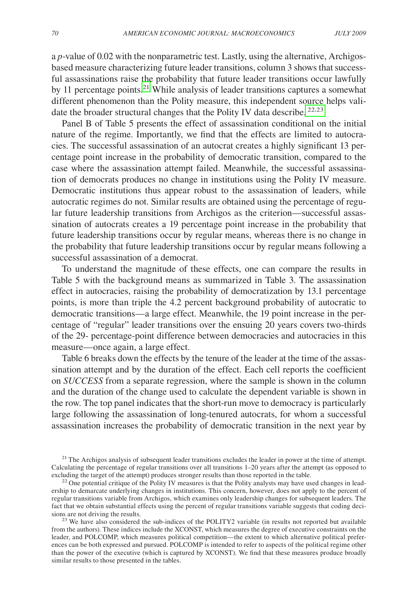a *p*-value of 0.02 with the nonparametric test. Lastly, using the alternative, Archigosbased measure characterizing future leader transitions, column 3 shows that successful assassinations raise the probability that future leader transitions occur lawfully by 11 percentage points.<sup>21</sup> While analysis of leader transitions captures a somewhat different phenomenon than the Polity measure, this independent source helps validate the broader structural changes that the Polity IV data describe. <sup>22,23</sup>

Panel B of Table 5 presents the effect of assassination conditional on the initial nature of the regime. Importantly, we find that the effects are limited to autocracies. The successful assassination of an autocrat creates a highly significant 13 percentage point increase in the probability of democratic transition, compared to the case where the assassination attempt failed. Meanwhile, the successful assassination of democrats produces no change in institutions using the Polity IV measure. Democratic institutions thus appear robust to the assassination of leaders, while autocratic regimes do not. Similar results are obtained using the percentage of regular future leadership transitions from Archigos as the criterion—successful assassination of autocrats creates a 19 percentage point increase in the probability that future leadership transitions occur by regular means, whereas there is no change in the probability that future leadership transitions occur by regular means following a successful assassination of a democrat.

To understand the magnitude of these effects, one can compare the results in Table 5 with the background means as summarized in Table 3. The assassination effect in autocracies, raising the probability of democratization by 13.1 percentage points, is more than triple the 4.2 percent background probability of autocratic to democratic transitions—a large effect. Meanwhile, the 19 point increase in the percentage of "regular" leader transitions over the ensuing 20 years covers two-thirds of the 29- percentage-point difference between democracies and autocracies in this measure—once again, a large effect.

Table 6 breaks down the effects by the tenure of the leader at the time of the assassination attempt and by the duration of the effect. Each cell reports the coefficient on *SUCCESS* from a separate regression, where the sample is shown in the column and the duration of the change used to calculate the dependent variable is shown in the row. The top panel indicates that the short-run move to democracy is particularly large following the assassination of long-tenured autocrats, for whom a successful assassination increases the probability of democratic transition in the next year by

<sup>21</sup> The Archigos analysis of subsequent leader transitions excludes the leader in power at the time of attempt. Calculating the percentage of regular transitions over all transitions 1–20 years after the attempt (as opposed to

 $^{22}$  One potential critique of the Polity IV measures is that the Polity analysts may have used changes in leadership to demarcate underlying changes in institutions. This concern, however, does not apply to the percent of regular transitions variable from Archigos, which examines only leadership changes for subsequent leaders. The fact that we obtain substantial effects using the percent of regular transitions variable suggests that coding decisions are not driving the results.

 $2<sup>3</sup>$  We have also considered the sub-indices of the POLITY2 variable (in results not reported but available from the authors). These indices include the XCONST, which measures the degree of executive constraints on the leader, and POLCOMP, which measures political competition—the extent to which alternative political preferences can be both expressed and pursued. POLCOMP is intended to refer to aspects of the political regime other than the power of the executive (which is captured by XCONST). We find that these measures produce broadly similar results to those presented in the tables.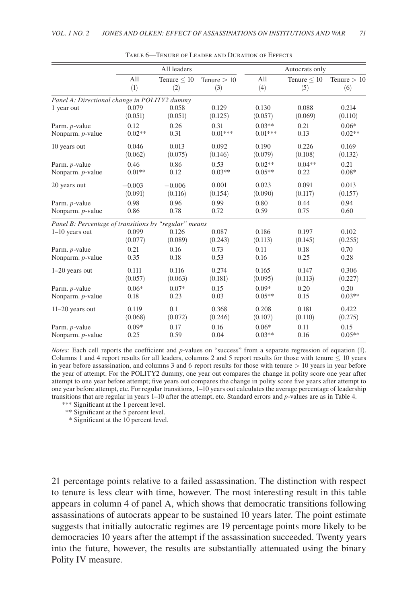|                                                       | All leaders |                  |               |           | Autocrats only   |               |  |  |
|-------------------------------------------------------|-------------|------------------|---------------|-----------|------------------|---------------|--|--|
|                                                       | All         | Tenure $\leq 10$ | Tenure $> 10$ | A11       | Tenure $\leq 10$ | Tenure $> 10$ |  |  |
|                                                       | (1)         | (2)              | (3)           | (4)       | (5)              | (6)           |  |  |
| Panel A: Directional change in POLITY2 dummy          |             |                  |               |           |                  |               |  |  |
| 1 year out                                            | 0.079       | 0.058            | 0.129         | 0.130     | 0.088            | 0.214         |  |  |
|                                                       | (0.051)     | (0.051)          | (0.125)       | (0.057)   | (0.069)          | (0.110)       |  |  |
| Parm. p-value                                         | 0.12        | 0.26             | 0.31          | $0.03**$  | 0.21             | $0.06*$       |  |  |
| Nonparm. p-value                                      | $0.02**$    | 0.31             | $0.01***$     | $0.01***$ | 0.13             | $0.02**$      |  |  |
| 10 years out                                          | 0.046       | 0.013            | 0.092         | 0.190     | 0.226            | 0.169         |  |  |
|                                                       | (0.062)     | (0.075)          | (0.146)       | (0.079)   | (0.108)          | (0.132)       |  |  |
| Parm. <i>p</i> -value                                 | 0.46        | 0.86             | 0.53          | $0.02**$  | $0.04**$         | 0.21          |  |  |
| Nonparm. p-value                                      | $0.01**$    | 0.12             | $0.03**$      | $0.05**$  | 0.22             | $0.08*$       |  |  |
| 20 years out                                          | $-0.003$    | $-0.006$         | 0.001         | 0.023     | 0.091            | 0.013         |  |  |
|                                                       | (0.091)     | (0.116)          | (0.154)       | (0.090)   | (0.117)          | (0.157)       |  |  |
| Parm. p-value                                         | 0.98        | 0.96             | 0.99          | 0.80      | 0.44             | 0.94          |  |  |
| Nonparm. p-value                                      | 0.86        | 0.78             | 0.72          | 0.59      | 0.75             | 0.60          |  |  |
| Panel B: Percentage of transitions by "regular" means |             |                  |               |           |                  |               |  |  |
| $1-10$ years out                                      | 0.099       | 0.126            | 0.087         | 0.186     | 0.197            | 0.102         |  |  |
|                                                       | (0.077)     | (0.089)          | (0.243)       | (0.113)   | (0.145)          | (0.255)       |  |  |
| Parm. p-value                                         | 0.21        | 0.16             | 0.73          | 0.11      | 0.18             | 0.70          |  |  |
| Nonparm. p-value                                      | 0.35        | 0.18             | 0.53          | 0.16      | 0.25             | 0.28          |  |  |
| $1-20$ years out                                      | 0.111       | 0.116            | 0.274         | 0.165     | 0.147            | 0.306         |  |  |
|                                                       | (0.057)     | (0.063)          | (0.181)       | (0.095)   | (0.113)          | (0.227)       |  |  |
| Parm. <i>p</i> -value                                 | $0.06*$     | $0.07*$          | 0.15          | $0.09*$   | 0.20             | 0.20          |  |  |
| Nonparm. p-value                                      | 0.18        | 0.23             | 0.03          | $0.05**$  | 0.15             | $0.03**$      |  |  |
| $11-20$ years out                                     | 0.119       | 0.1              | 0.368         | 0.208     | 0.181            | 0.422         |  |  |
|                                                       | (0.068)     | (0.072)          | (0.246)       | (0.107)   | (0.110)          | (0.275)       |  |  |
| Parm. p-value                                         | $0.09*$     | 0.17             | 0.16          | $0.06*$   | 0.11             | 0.15          |  |  |
| Nonparm. p-value                                      | 0.25        | 0.59             | 0.04          | $0.03**$  | 0.16             | $0.05**$      |  |  |

Table 6—Tenure of Leader and Duration of Effects

*Notes:* Each cell reports the coefficient and *p*-values on "success" from a separate regression of equation (1). Columns 1 and 4 report results for all leaders, columns 2 and 5 report results for those with tenure  $\leq 10$  years in year before assassination, and columns 3 and 6 report results for those with tenure  $> 10$  years in year before the year of attempt. For the POLITY2 dummy, one year out compares the change in polity score one year after attempt to one year before attempt; five years out compares the change in polity score five years after attempt to one year before attempt, etc. For regular transitions, 1–10 years out calculates the average percentage of leadership transitions that are regular in years 1–10 after the attempt, etc. Standard errors and *p*-values are as in Table 4.

\*\*\* Significant at the 1 percent level.

\*\* Significant at the 5 percent level.

\* Significant at the 10 percent level.

21 percentage points relative to a failed assassination. The distinction with respect to tenure is less clear with time, however. The most interesting result in this table appears in column 4 of panel A, which shows that democratic transitions following assassinations of autocrats appear to be sustained 10 years later. The point estimate suggests that initially autocratic regimes are 19 percentage points more likely to be democracies 10 years after the attempt if the assassination succeeded. Twenty years into the future, however, the results are substantially attenuated using the binary Polity IV measure.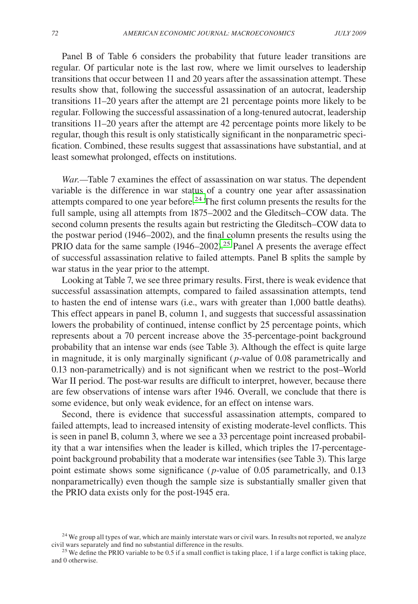Panel B of Table 6 considers the probability that future leader transitions are regular. Of particular note is the last row, where we limit ourselves to leadership transitions that occur between 11 and 20 years after the assassination attempt. These results show that, following the successful assassination of an autocrat, leadership transitions 11–20 years after the attempt are 21 percentage points more likely to be regular. Following the successful assassination of a long-tenured autocrat, leadership transitions 11–20 years after the attempt are 42 percentage points more likely to be regular, though this result is only statistically significant in the nonparametric specification. Combined, these results suggest that assassinations have substantial, and at least somewhat prolonged, effects on institutions.

*War.—*Table 7 examines the effect of assassination on war status. The dependent variable is the difference in war status of a country one year after assassination attempts compared to one year before.24 The first column presents the results for the full sample, using all attempts from 1875–2002 and the Gleditsch–COW data. The second column presents the results again but restricting the Gleditsch–COW data to the postwar period (1946–2002), and the final column presents the results using the PRIO data for the same sample (1946–2002).<sup>25</sup> Panel A presents the average effect of successful assassination relative to failed attempts. Panel B splits the sample by war status in the year prior to the attempt.

Looking at Table 7, we see three primary results. First, there is weak evidence that successful assassination attempts, compared to failed assassination attempts, tend to hasten the end of intense wars (i.e., wars with greater than 1,000 battle deaths). This effect appears in panel B, column 1, and suggests that successful assassination lowers the probability of continued, intense conflict by 25 percentage points, which represents about a 70 percent increase above the 35-percentage-point background probability that an intense war ends (see Table 3). Although the effect is quite large in magnitude, it is only marginally significant (*p*-value of 0.08 parametrically and 0.13 non-parametrically) and is not significant when we restrict to the post–World War II period. The post-war results are difficult to interpret, however, because there are few observations of intense wars after 1946. Overall, we conclude that there is some evidence, but only weak evidence, for an effect on intense wars.

Second, there is evidence that successful assassination attempts, compared to failed attempts, lead to increased intensity of existing moderate-level conflicts. This is seen in panel B, column 3, where we see a 33 percentage point increased probability that a war intensifies when the leader is killed, which triples the 17-percentagepoint background probability that a moderate war intensifies (see Table 3). This large point estimate shows some significance ( *p*-value of 0.05 parametrically, and 0.13 nonparametrically) even though the sample size is substantially smaller given that the PRIO data exists only for the post-1945 era.

<sup>&</sup>lt;sup>24</sup> We group all types of war, which are mainly interstate wars or civil wars. In results not reported, we analyze civil wars separately and find no substantial difference in the results. 25 We define the PRIO variable to be 0.5 if a small conflict is taking place, 1 if a large conflict is taking place,

and 0 otherwise.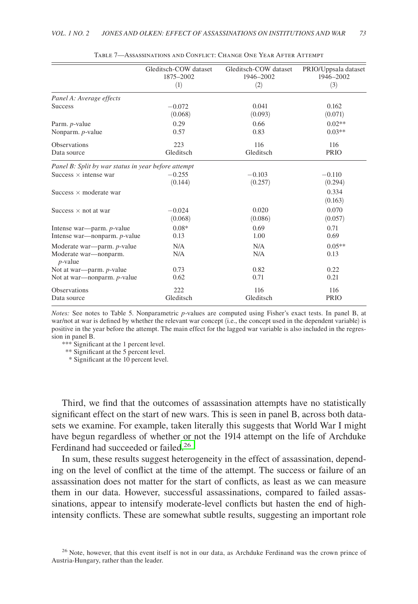|                                                     | Gleditsch-COW dataset<br>1875-2002 | Gleditsch-COW dataset<br>1946-2002 | PRIO/Uppsala dataset<br>1946-2002 |
|-----------------------------------------------------|------------------------------------|------------------------------------|-----------------------------------|
|                                                     | (1)                                | (2)                                | (3)                               |
| Panel A: Average effects                            |                                    |                                    |                                   |
| <b>Success</b>                                      | $-0.072$<br>(0.068)                | 0.041<br>(0.093)                   | 0.162<br>(0.071)                  |
| Parm. <i>p</i> -value                               | 0.29                               | 0.66                               | $0.02**$                          |
| Nonparm. p-value                                    | 0.57                               | 0.83                               | $0.03**$                          |
| <b>Observations</b>                                 | 223                                | 116                                | 116                               |
| Data source                                         | Gleditsch                          | Gleditsch                          | <b>PRIO</b>                       |
| Panel B: Split by war status in year before attempt |                                    |                                    |                                   |
| Success $\times$ intense war                        | $-0.255$                           | $-0.103$                           | $-0.110$                          |
|                                                     | (0.144)                            | (0.257)                            | (0.294)                           |
| Success $\times$ moderate war                       |                                    |                                    | 0.334                             |
|                                                     |                                    |                                    | (0.163)                           |
| Success $\times$ not at war                         | $-0.024$                           | 0.020                              | 0.070                             |
|                                                     | (0.068)                            | (0.086)                            | (0.057)                           |
| Intense war—parm. p-value                           | $0.08*$                            | 0.69                               | 0.71                              |
| Intense war-nonparm. p-value                        | 0.13                               | 1.00                               | 0.69                              |
| Moderate war—parm. p-value                          | N/A                                | N/A                                | $0.05**$                          |
| Moderate war-nonparm.<br>$p$ -value                 | N/A                                | N/A                                | 0.13                              |
| Not at war—parm. $p$ -value                         | 0.73                               | 0.82                               | 0.22                              |
| Not at war-nonparm. p-value                         | 0.62                               | 0.71                               | 0.21                              |
| <b>Observations</b>                                 | 222                                | 116                                | 116                               |
| Data source                                         | Gleditsch                          | Gleditsch                          | <b>PRIO</b>                       |

| TABLE 7—ASSASSINATIONS AND CONFLICT: CHANGE ONE YEAR AFTER ATTEMPT |  |  |  |  |
|--------------------------------------------------------------------|--|--|--|--|
|--------------------------------------------------------------------|--|--|--|--|

*Notes:* See notes to Table 5. Nonparametric *p*-values are computed using Fisher's exact tests. In panel B, at war/not at war is defined by whether the relevant war concept (i.e., the concept used in the dependent variable) is positive in the year before the attempt. The main effect for the lagged war variable is also included in the regression in panel B.

\*\*\* Significant at the 1 percent level.

\*\* Significant at the 5 percent level.

\* Significant at the 10 percent level.

Third, we find that the outcomes of assassination attempts have no statistically significant effect on the start of new wars. This is seen in panel B, across both datasets we examine. For example, taken literally this suggests that World War I might have begun regardless of whether or not the 1914 attempt on the life of Archduke Ferdinand had succeeded or failed.26

In sum, these results suggest heterogeneity in the effect of assassination, depending on the level of conflict at the time of the attempt. The success or failure of an assassination does not matter for the start of conflicts, as least as we can measure them in our data. However, successful assassinations, compared to failed assassinations, appear to intensify moderate-level conflicts but hasten the end of highintensity conflicts. These are somewhat subtle results, suggesting an important role

<sup>&</sup>lt;sup>26</sup> Note, however, that this event itself is not in our data, as Archduke Ferdinand was the crown prince of Austria-Hungary, rather than the leader.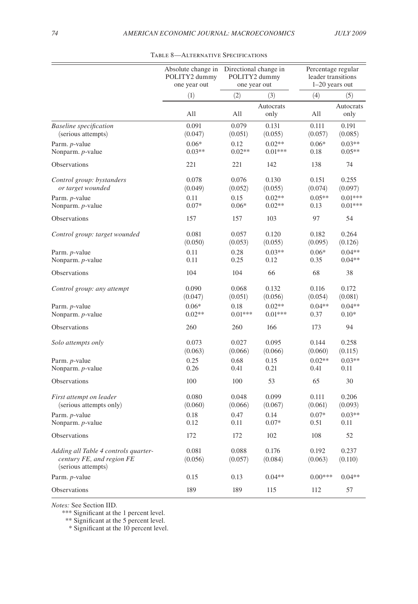|                                                                                         | Absolute change in | Directional change in |                   | Percentage regular |                   |
|-----------------------------------------------------------------------------------------|--------------------|-----------------------|-------------------|--------------------|-------------------|
|                                                                                         | POLITY2 dummy      | POLITY2 dummy         |                   | leader transitions |                   |
|                                                                                         | one year out       | one year out          |                   | $1-20$ years out   |                   |
|                                                                                         | (1)                | (2)<br>(3)            |                   | (4)                | (5)               |
|                                                                                         | All                | All                   | Autocrats<br>only | All                | Autocrats<br>only |
| <b>Baseline</b> specification                                                           | 0.091              | 0.079                 | 0.131             | 0.111              | 0.191             |
| (serious attempts)                                                                      | (0.047)            | (0.051)               | (0.055)           | (0.057)            | (0.085)           |
| Parm. p-value                                                                           | $0.06*$            | 0.12                  | $0.02**$          | $0.06*$            | $0.03**$          |
| Nonparm. p-value                                                                        | $0.03**$           | $0.02**$              | $0.01***$         | 0.18               | $0.05**$          |
| Observations                                                                            | 221                | 221                   | 142               | 138                | 74                |
| Control group: bystanders                                                               | 0.078              | 0.076                 | 0.130             | 0.151              | 0.255             |
| or target wounded                                                                       | (0.049)            | (0.052)               | (0.055)           | (0.074)            | (0.097)           |
| Parm. p-value                                                                           | 0.11               | 0.15                  | $0.02**$          | $0.05**$           | $0.01***$         |
| Nonparm. p-value                                                                        | $0.07*$            | $0.06*$               | $0.02**$          | 0.13               | $0.01***$         |
| Observations                                                                            | 157                | 157                   | 103               | 97                 | 54                |
| Control group: target wounded                                                           | 0.081              | 0.057                 | 0.120             | 0.182              | 0.264             |
|                                                                                         | (0.050)            | (0.053)               | (0.055)           | (0.095)            | (0.126)           |
| Parm. p-value                                                                           | 0.11               | 0.28                  | $0.03**$          | $0.06*$            | $0.04**$          |
| Nonparm. p-value                                                                        | 0.11               | 0.25                  | 0.12              | 0.35               | $0.04**$          |
| Observations                                                                            | 104                | 104                   | 66                | 68                 | 38                |
| Control group: any attempt                                                              | 0.090              | 0.068                 | 0.132             | 0.116              | 0.172             |
|                                                                                         | (0.047)            | (0.051)               | (0.056)           | (0.054)            | (0.081)           |
| Parm. p-value                                                                           | $0.06*$            | 0.18                  | $0.02**$          | $0.04**$           | $0.04**$          |
| Nonparm. <i>p</i> -value                                                                | $0.02**$           | $0.01***$             | $0.01***$         | 0.37               | $0.10*$           |
| Observations                                                                            | 260                | 260                   | 166               | 173                | 94                |
| Solo attempts only                                                                      | 0.073              | 0.027                 | 0.095             | 0.144              | 0.258             |
|                                                                                         | (0.063)            | (0.066)               | (0.066)           | (0.060)            | (0.115)           |
| Parm. p-value                                                                           | 0.25               | 0.68                  | 0.15              | $0.02**$           | $0.03**$          |
| Nonparm. p-value                                                                        | 0.26               | 0.41                  | 0.21              | 0.41               | 0.11              |
| Observations                                                                            | 100                | 100                   | 53                | 65                 | 30                |
| First attempt on leader                                                                 | 0.080              | 0.048                 | 0.099             | 0.111              | 0.206             |
| (serious attempts only)                                                                 | (0.060)            | (0.066)               | (0.067)           | (0.061)            | (0.093)           |
| Parm. p-value                                                                           | 0.18               | 0.47                  | 0.14              | $0.07*$            | $0.03**$          |
| Nonparm. p-value                                                                        | 0.12               | 0.11                  | $0.07*$           | 0.51               | 0.11              |
| Observations                                                                            | 172                | 172                   | 102               | 108                | 52                |
| Adding all Table 4 controls quarter-<br>century FE, and region FE<br>(serious attempts) | 0.081<br>(0.056)   | 0.088<br>(0.057)      | 0.176<br>(0.084)  | 0.192<br>(0.063)   | 0.237<br>(0.110)  |
| Parm. p-value                                                                           | 0.15               | 0.13                  | $0.04**$          | $0.00***$          | $0.04**$          |
| Observations                                                                            | 189                | 189                   | 115               | 112                | 57                |

Table 8—Alternative Specifications

*Notes:* See Section IID.

\*\*\* Significant at the 1 percent level.

\*\* Significant at the 5 percent level.

\* Significant at the 10 percent level.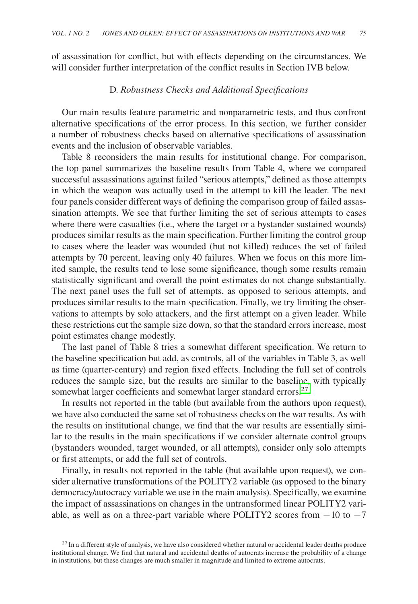of assassination for conflict, but with effects depending on the circumstances. We will consider further interpretation of the conflict results in Section IVB below.

## D. *Robustness Checks and Additional Specifications*

Our main results feature parametric and nonparametric tests, and thus confront alternative specifications of the error process. In this section, we further consider a number of robustness checks based on alternative specifications of assassination events and the inclusion of observable variables.

Table 8 reconsiders the main results for institutional change. For comparison, the top panel summarizes the baseline results from Table 4, where we compared successful assassinations against failed "serious attempts," defined as those attempts in which the weapon was actually used in the attempt to kill the leader. The next four panels consider different ways of defining the comparison group of failed assassination attempts. We see that further limiting the set of serious attempts to cases where there were casualties (i.e., where the target or a bystander sustained wounds) produces similar results as the main specification. Further limiting the control group to cases where the leader was wounded (but not killed) reduces the set of failed attempts by 70 percent, leaving only 40 failures. When we focus on this more limited sample, the results tend to lose some significance, though some results remain statistically significant and overall the point estimates do not change substantially. The next panel uses the full set of attempts, as opposed to serious attempts, and produces similar results to the main specification. Finally, we try limiting the observations to attempts by solo attackers, and the first attempt on a given leader. While these restrictions cut the sample size down, so that the standard errors increase, most point estimates change modestly.

The last panel of Table 8 tries a somewhat different specification. We return to the baseline specification but add, as controls, all of the variables in Table 3, as well as time (quarter-century) and region fixed effects. Including the full set of controls reduces the sample size, but the results are similar to the baseline, with typically somewhat larger coefficients and somewhat larger standard errors.<sup>27</sup>

In results not reported in the table (but available from the authors upon request), we have also conducted the same set of robustness checks on the war results. As with the results on institutional change, we find that the war results are essentially similar to the results in the main specifications if we consider alternate control groups (bystanders wounded, target wounded, or all attempts), consider only solo attempts or first attempts, or add the full set of controls.

Finally, in results not reported in the table (but available upon request), we consider alternative transformations of the POLITY2 variable (as opposed to the binary democracy/autocracy variable we use in the main analysis). Specifically, we examine the impact of assassinations on changes in the untransformed linear POLITY2 variable, as well as on a three-part variable where POLITY2 scores from  $-10$  to  $-7$ 

 $27$  In a different style of analysis, we have also considered whether natural or accidental leader deaths produce institutional change. We find that natural and accidental deaths of autocrats increase the probability of a change in institutions, but these changes are much smaller in magnitude and limited to extreme autocrats.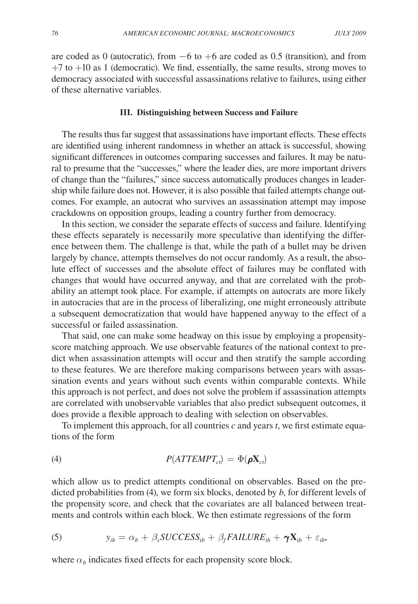are coded as 0 (autocratic), from  $-6$  to  $+6$  are coded as 0.5 (transition), and from  $+7$  to  $+10$  as 1 (democratic). We find, essentially, the same results, strong moves to democracy associated with successful assassinations relative to failures, using either of these alternative variables.

#### **III. Distinguishing between Success and Failure**

The results thus far suggest that assassinations have important effects. These effects are identified using inherent randomness in whether an attack is successful, showing significant differences in outcomes comparing successes and failures. It may be natural to presume that the "successes," where the leader dies, are more important drivers of change than the "failures," since success automatically produces changes in leadership while failure does not. However, it is also possible that failed attempts change outcomes. For example, an autocrat who survives an assassination attempt may impose crackdowns on opposition groups, leading a country further from democracy.

In this section, we consider the separate effects of success and failure. Identifying these effects separately is necessarily more speculative than identifying the difference between them. The challenge is that, while the path of a bullet may be driven largely by chance, attempts themselves do not occur randomly. As a result, the absolute effect of successes and the absolute effect of failures may be conflated with changes that would have occurred anyway, and that are correlated with the probability an attempt took place. For example, if attempts on autocrats are more likely in autocracies that are in the process of liberalizing, one might erroneously attribute a subsequent democratization that would have happened anyway to the effect of a successful or failed assassination.

That said, one can make some headway on this issue by employing a propensityscore matching approach. We use observable features of the national context to predict when assassination attempts will occur and then stratify the sample according to these features. We are therefore making comparisons between years with assassination events and years without such events within comparable contexts. While this approach is not perfect, and does not solve the problem if assassination attempts are correlated with unobservable variables that also predict subsequent outcomes, it does provide a flexible approach to dealing with selection on observables.

To implement this approach, for all countries *c* and years *t*, we first estimate equations of the form

$$
P(ATTEMP_{ct}) = \Phi(\rho \mathbf{X}_{ct})
$$

which allow us to predict attempts conditional on observables. Based on the predicted probabilities from (4), we form six blocks, denoted by *b*, for different levels of the propensity score, and check that the covariates are all balanced between treatments and controls within each block. We then estimate regressions of the form

(5) 
$$
y_{ib} = \alpha_b + \beta_s \text{SUCCESS}_{ib} + \beta_f \text{FAILURE}_{ib} + \gamma \mathbf{X}_{ib} + \varepsilon_{ib},
$$

where  $\alpha_b$  indicates fixed effects for each propensity score block.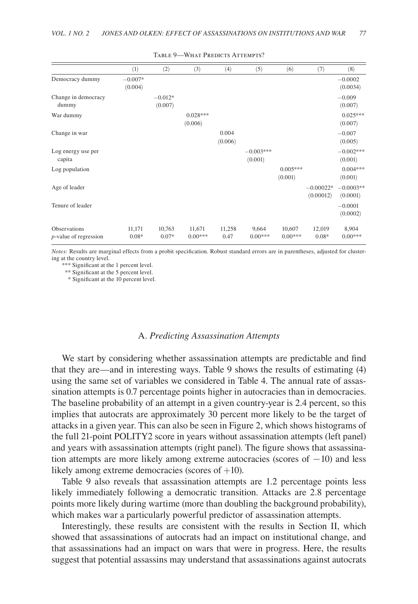|                                          | (1)                  | (2)                  | (3)                   | (4)              | (5)                    | (6)                   | (7)                      | (8)                     |
|------------------------------------------|----------------------|----------------------|-----------------------|------------------|------------------------|-----------------------|--------------------------|-------------------------|
| Democracy dummy                          | $-0.007*$<br>(0.004) |                      |                       |                  |                        |                       |                          | $-0.0002$<br>(0.0034)   |
| Change in democracy<br>dummy             |                      | $-0.012*$<br>(0.007) |                       |                  |                        |                       |                          | $-0.009$<br>(0.007)     |
| War dummy                                |                      |                      | $0.028***$<br>(0.006) |                  |                        |                       |                          | $0.025***$<br>(0.007)   |
| Change in war                            |                      |                      |                       | 0.004<br>(0.006) |                        |                       |                          | $-0.007$<br>(0.005)     |
| Log energy use per<br>capita             |                      |                      |                       |                  | $-0.003***$<br>(0.001) |                       |                          | $-0.002***$<br>(0.001)  |
| Log population                           |                      |                      |                       |                  |                        | $0.005***$<br>(0.001) |                          | $0.004***$<br>(0.001)   |
| Age of leader                            |                      |                      |                       |                  |                        |                       | $-0.00022*$<br>(0.00012) | $-0.0003**$<br>(0.0001) |
| Tenure of leader                         |                      |                      |                       |                  |                        |                       |                          | $-0.0001$<br>(0.0002)   |
| Observations<br>$p$ -value of regression | 11,171<br>$0.08*$    | 10,763<br>$0.07*$    | 11,671<br>$0.00***$   | 11,258<br>0.47   | 9,664<br>$0.00***$     | 10,607<br>$0.00***$   | 12,019<br>$0.08*$        | 8,904<br>$0.00***$      |

TABLE 9-WHAT PREDICTS ATTEMPTS?

*Notes:* Results are marginal effects from a probit specification. Robust standard errors are in parentheses, adjusted for clustering at the country level.

\*\*\* Significant at the 1 percent level.

\*\* Significant at the 5 percent level.

\* Significant at the 10 percent level.

# A. *Predicting Assassination Attempts*

We start by considering whether assassination attempts are predictable and find that they are—and in interesting ways. Table 9 shows the results of estimating (4) using the same set of variables we considered in Table 4. The annual rate of assassination attempts is 0.7 percentage points higher in autocracies than in democracies. The baseline probability of an attempt in a given country-year is 2.4 percent, so this implies that autocrats are approximately 30 percent more likely to be the target of attacks in a given year. This can also be seen in Figure 2, which shows histograms of the full 21-point POLITY2 score in years without assassination attempts (left panel) and years with assassination attempts (right panel). The figure shows that assassination attempts are more likely among extreme autocracies (scores of −10) and less likely among extreme democracies (scores of +10).

Table 9 also reveals that assassination attempts are 1.2 percentage points less likely immediately following a democratic transition. Attacks are 2.8 percentage points more likely during wartime (more than doubling the background probability), which makes war a particularly powerful predictor of assassination attempts.

Interestingly, these results are consistent with the results in Section II, which showed that assassinations of autocrats had an impact on institutional change, and that assassinations had an impact on wars that were in progress. Here, the results suggest that potential assassins may understand that assassinations against autocrats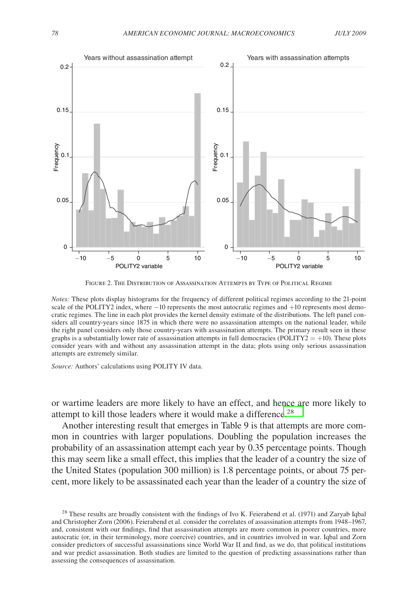

Figure 2. The Distribution of Assassination Attempts by Type of Political Regime

*Notes:* These plots display histograms for the frequency of different political regimes according to the 21-point scale of the POLITY2 index, where −10 represents the most autocratic regimes and +10 represents most democratic regimes. The line in each plot provides the kernel density estimate of the distributions. The left panel considers all country-years since 1875 in which there were no assassination attempts on the national leader, while the right panel considers only those country-years with assassination attempts. The primary result seen in these graphs is a substantially lower rate of assassination attempts in full democracies (POLITY2 =  $+10$ ). These plots consider years with and without any assassination attempt in the data; plots using only serious assassination attempts are extremely similar.

*Source:* Authors' calculations using POLITY IV data.

or wartime leaders are more likely to have an effect, and hence are more likely to attempt to kill those leaders where it would make a difference.<sup>28</sup>

Another interesting result that emerges in Table 9 is that attempts are more common in countries with larger populations. Doubling the population increases the probability of an assassination attempt each year by 0.35 percentage points. Though this may seem like a small effect, this implies that the leader of a country the size of the United States (population 300 million) is 1.8 percentage points, or about 75 percent, more likely to be assassinated each year than the leader of a country the size of

 $^{28}$  These results are broadly consistent with the findings of Ivo K. Feierabend et al. (1971) and Zaryab Iqbal and Christopher Zorn (2006). Feierabend et al. consider the correlates of assassination attempts from 1948–1967, and, consistent with our findings, find that assassination attempts are more common in poorer countries, more autocratic (or, in their terminology, more coercive) countries, and in countries involved in war. Iqbal and Zorn consider predictors of successful assassinations since World War II and find, as we do, that political institutions and war predict assassination. Both studies are limited to the question of predicting assassinations rather than assessing the consequences of assassination.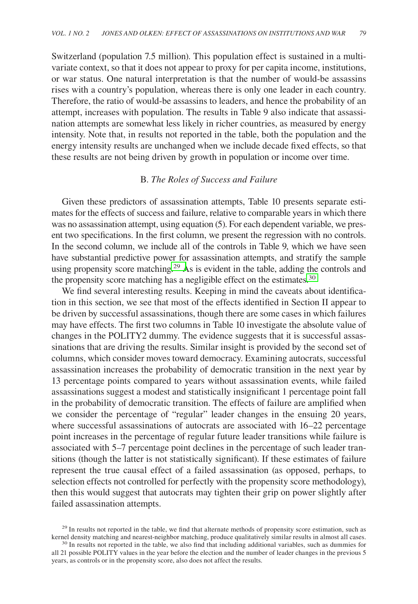Switzerland (population 7.5 million). This population effect is sustained in a multivariate context, so that it does not appear to proxy for per capita income, institutions, or war status. One natural interpretation is that the number of would-be assassins rises with a country's population, whereas there is only one leader in each country. Therefore, the ratio of would-be assassins to leaders, and hence the probability of an attempt, increases with population. The results in Table 9 also indicate that assassination attempts are somewhat less likely in richer countries, as measured by energy intensity. Note that, in results not reported in the table, both the population and the energy intensity results are unchanged when we include decade fixed effects, so that these results are not being driven by growth in population or income over time.

# B. *The Roles of Success and Failure*

Given these predictors of assassination attempts, Table 10 presents separate estimates for the effects of success and failure, relative to comparable years in which there was no assassination attempt, using equation (5). For each dependent variable, we present two specifications. In the first column, we present the regression with no controls. In the second column, we include all of the controls in Table 9, which we have seen have substantial predictive power for assassination attempts, and stratify the sample using propensity score matching.<sup>29</sup> As is evident in the table, adding the controls and the propensity score matching has a negligible effect on the estimates.<sup>30</sup>

We find several interesting results. Keeping in mind the caveats about identification in this section, we see that most of the effects identified in Section II appear to be driven by successful assassinations, though there are some cases in which failures may have effects. The first two columns in Table 10 investigate the absolute value of changes in the POLITY2 dummy. The evidence suggests that it is successful assassinations that are driving the results. Similar insight is provided by the second set of columns, which consider moves toward democracy. Examining autocrats, successful assassination increases the probability of democratic transition in the next year by 13 percentage points compared to years without assassination events, while failed assassinations suggest a modest and statistically insignificant 1 percentage point fall in the probability of democratic transition. The effects of failure are amplified when we consider the percentage of "regular" leader changes in the ensuing 20 years, where successful assassinations of autocrats are associated with 16–22 percentage point increases in the percentage of regular future leader transitions while failure is associated with 5–7 percentage point declines in the percentage of such leader transitions (though the latter is not statistically significant). If these estimates of failure represent the true causal effect of a failed assassination (as opposed, perhaps, to selection effects not controlled for perfectly with the propensity score methodology), then this would suggest that autocrats may tighten their grip on power slightly after failed assassination attempts.

<sup>&</sup>lt;sup>29</sup> In results not reported in the table, we find that alternate methods of propensity score estimation, such as kernel density matching and nearest-neighbor matching, produce qualitatively similar results in almost all c

<sup>&</sup>lt;sup>30</sup> In results not reported in the table, we also find that including additional variables, such as dummies for all 21 possible POLITY values in the year before the election and the number of leader changes in the previous 5 years, as controls or in the propensity score, also does not affect the results.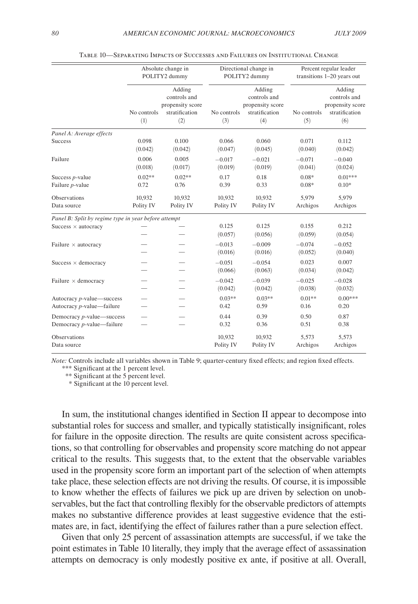|                                                                | Absolute change in<br>POLITY2 dummy |                                                                     |                     | Directional change in<br>POLITY2 dummy                              | Percent regular leader<br>transitions 1-20 years out |                                                                     |  |
|----------------------------------------------------------------|-------------------------------------|---------------------------------------------------------------------|---------------------|---------------------------------------------------------------------|------------------------------------------------------|---------------------------------------------------------------------|--|
|                                                                | No controls<br>(1)                  | Adding<br>controls and<br>propensity score<br>stratification<br>(2) | No controls<br>(3)  | Adding<br>controls and<br>propensity score<br>stratification<br>(4) | No controls<br>(5)                                   | Adding<br>controls and<br>propensity score<br>stratification<br>(6) |  |
| Panel A: Average effects                                       |                                     |                                                                     |                     |                                                                     |                                                      |                                                                     |  |
| <b>Success</b>                                                 | 0.098<br>(0.042)                    | 0.100<br>(0.042)                                                    | 0.066<br>(0.047)    | 0.060<br>(0.045)                                                    | 0.071<br>(0.040)                                     | 0.112<br>(0.042)                                                    |  |
| Failure                                                        | 0.006<br>(0.018)                    | 0.005<br>(0.017)                                                    | $-0.017$<br>(0.019) | $-0.021$<br>(0.019)                                                 | $-0.071$<br>(0.041)                                  | $-0.040$<br>(0.024)                                                 |  |
| Success <i>p</i> -value<br>Failure <i>p</i> -value             | $0.02**$<br>0.72                    | $0.02**$<br>0.76                                                    | 0.17<br>0.39        | 0.18<br>0.33                                                        | $0.08*$<br>$0.08*$                                   | $0.01***$<br>$0.10*$                                                |  |
| Observations<br>Data source                                    | 10,932<br>Polity IV                 | 10.932<br>Polity IV                                                 | 10.932<br>Polity IV | 10.932<br>Polity IV                                                 | 5.979<br>Archigos                                    | 5.979<br>Archigos                                                   |  |
| Panel B: Split by regime type in year before attempt           |                                     |                                                                     |                     |                                                                     |                                                      |                                                                     |  |
| Success $\times$ autocracy                                     |                                     |                                                                     | 0.125<br>(0.057)    | 0.125<br>(0.056)                                                    | 0.155<br>(0.059)                                     | 0.212<br>(0.054)                                                    |  |
| Failure $\times$ autocracy                                     |                                     |                                                                     | $-0.013$<br>(0.016) | $-0.009$<br>(0.016)                                                 | $-0.074$<br>(0.052)                                  | $-0.052$<br>(0.040)                                                 |  |
| Success $\times$ democracy                                     |                                     |                                                                     | $-0.051$<br>(0.066) | $-0.054$<br>(0.063)                                                 | 0.023<br>(0.034)                                     | 0.007<br>(0.042)                                                    |  |
| Failure $\times$ democracy                                     |                                     |                                                                     | $-0.042$<br>(0.042) | $-0.039$<br>(0.042)                                                 | $-0.025$<br>(0.038)                                  | $-0.028$<br>(0.032)                                                 |  |
| Autocracy <i>p</i> -value—success<br>Autocracy p-value—failure |                                     |                                                                     | $0.03**$<br>0.42    | $0.03**$<br>0.59                                                    | $0.01**$<br>0.16                                     | $0.00***$<br>0.20                                                   |  |
| Democracy <i>p</i> -value—success<br>Democracy p-value—failure |                                     |                                                                     | 0.44<br>0.32        | 0.39<br>0.36                                                        | 0.50<br>0.51                                         | 0.87<br>0.38                                                        |  |
| <b>Observations</b><br>Data source                             |                                     |                                                                     | 10.932<br>Polity IV | 10,932<br>Polity IV                                                 | 5.573<br>Archigos                                    | 5,573<br>Archigos                                                   |  |

Table 10—Separating Impacts of Successes and Failures on Institutional Change

*Note:* Controls include all variables shown in Table 9; quarter-century fixed effects; and region fixed effects.

\*\*\* Significant at the 1 percent level.

\*\* Significant at the 5 percent level.

\* Significant at the 10 percent level.

In sum, the institutional changes identified in Section II appear to decompose into substantial roles for success and smaller, and typically statistically insignificant, roles for failure in the opposite direction. The results are quite consistent across specifications, so that controlling for observables and propensity score matching do not appear critical to the results. This suggests that, to the extent that the observable variables used in the propensity score form an important part of the selection of when attempts take place, these selection effects are not driving the results. Of course, it is impossible to know whether the effects of failures we pick up are driven by selection on unobservables, but the fact that controlling flexibly for the observable predictors of attempts makes no substantive difference provides at least suggestive evidence that the estimates are, in fact, identifying the effect of failures rather than a pure selection effect.

Given that only 25 percent of assassination attempts are successful, if we take the point estimates in Table 10 literally, they imply that the average effect of assassination attempts on democracy is only modestly positive ex ante, if positive at all. Overall,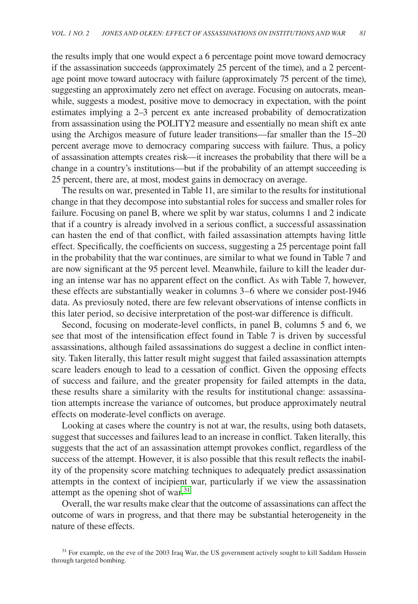the results imply that one would expect a 6 percentage point move toward democracy if the assassination succeeds (approximately 25 percent of the time), and a 2 percentage point move toward autocracy with failure (approximately 75 percent of the time), suggesting an approximately zero net effect on average. Focusing on autocrats, meanwhile, suggests a modest, positive move to democracy in expectation, with the point estimates implying a 2–3 percent ex ante increased probability of democratization from assassination using the POLITY2 measure and essentially no mean shift ex ante using the Archigos measure of future leader transitions—far smaller than the 15–20 percent average move to democracy comparing success with failure. Thus, a policy of assassination attempts creates risk—it increases the probability that there will be a change in a country's institutions—but if the probability of an attempt succeeding is 25 percent, there are, at most, modest gains in democracy on average.

The results on war, presented in Table 11, are similar to the results for institutional change in that they decompose into substantial roles for success and smaller roles for failure. Focusing on panel B, where we split by war status, columns 1 and 2 indicate that if a country is already involved in a serious conflict, a successful assassination can hasten the end of that conflict, with failed assassination attempts having little effect. Specifically, the coefficients on success, suggesting a 25 percentage point fall in the probability that the war continues, are similar to what we found in Table 7 and are now significant at the 95 percent level. Meanwhile, failure to kill the leader during an intense war has no apparent effect on the conflict. As with Table 7, however, these effects are substantially weaker in columns 3–6 where we consider post-1946 data. As previosuly noted, there are few relevant observations of intense conflicts in this later period, so decisive interpretation of the post-war difference is difficult.

Second, focusing on moderate-level conflicts, in panel B, columns 5 and 6, we see that most of the intensification effect found in Table 7 is driven by successful assassinations, although failed assassinations do suggest a decline in conflict intensity. Taken literally, this latter result might suggest that failed assassination attempts scare leaders enough to lead to a cessation of conflict. Given the opposing effects of success and failure, and the greater propensity for failed attempts in the data, these results share a similarity with the results for institutional change: assassination attempts increase the variance of outcomes, but produce approximately neutral effects on moderate-level conflicts on average.

Looking at cases where the country is not at war, the results, using both datasets, suggest that successes and failures lead to an increase in conflict. Taken literally, this suggests that the act of an assassination attempt provokes conflict, regardless of the success of the attempt. However, it is also possible that this result reflects the inability of the propensity score matching techniques to adequately predict assassination attempts in the context of incipient war, particularly if we view the assassination attempt as the opening shot of war.<sup>31</sup>

Overall, the war results make clear that the outcome of assassinations can affect the outcome of wars in progress, and that there may be substantial heterogeneity in the nature of these effects.

<sup>&</sup>lt;sup>31</sup> For example, on the eve of the 2003 Iraq War, the US government actively sought to kill Saddam Hussein through targeted bombing.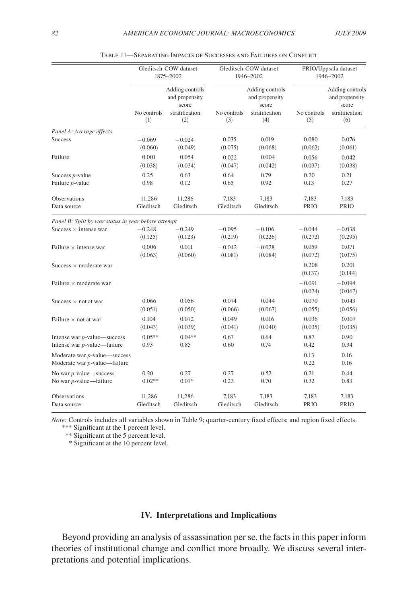|                                                                 | Gleditsch-COW dataset<br>1875-2002 |                                                                     |                    | Gleditsch-COW dataset<br>1946-2002                                  | PRIO/Uppsala dataset<br>1946-2002 |                                                                     |  |
|-----------------------------------------------------------------|------------------------------------|---------------------------------------------------------------------|--------------------|---------------------------------------------------------------------|-----------------------------------|---------------------------------------------------------------------|--|
|                                                                 | No controls<br>(1)                 | Adding controls<br>and propensity<br>score<br>stratification<br>(2) | No controls<br>(3) | Adding controls<br>and propensity<br>score<br>stratification<br>(4) | No controls<br>(5)                | Adding controls<br>and propensity<br>score<br>stratification<br>(6) |  |
| Panel A: Average effects                                        |                                    |                                                                     |                    |                                                                     |                                   |                                                                     |  |
| Success                                                         | $-0.069$                           | $-0.024$                                                            | 0.035              | 0.019                                                               | 0.080                             | 0.076                                                               |  |
|                                                                 | (0.060)                            | (0.049)                                                             | (0.075)            | (0.068)                                                             | (0.062)                           | (0.061)                                                             |  |
| Failure                                                         | 0.001                              | 0.054                                                               | $-0.022$           | 0.004                                                               | $-0.056$                          | $-0.042$                                                            |  |
|                                                                 | (0.038)                            | (0.034)                                                             | (0.047)            | (0.042)                                                             | (0.037)                           | (0.038)                                                             |  |
| Success <i>p</i> -value                                         | 0.25                               | 0.63                                                                | 0.64               | 0.79                                                                | 0.20                              | 0.21                                                                |  |
| Failure <i>p</i> -value                                         | 0.98                               | 0.12                                                                | 0.65               | 0.92                                                                | 0.13                              | 0.27                                                                |  |
| Observations                                                    | 11,286                             | 11,286                                                              | 7,183              | 7,183                                                               | 7,183                             | 7,183                                                               |  |
| Data source                                                     | Gleditsch                          | Gleditsch                                                           | Gleditsch          | Gleditsch                                                           | PRIO                              | PRIO                                                                |  |
| Panel B: Split by war status in year before attempt             |                                    |                                                                     |                    |                                                                     |                                   |                                                                     |  |
| Success $\times$ intense war                                    | $-0.248$                           | $-0.249$                                                            | $-0.095$           | $-0.106$                                                            | $-0.044$                          | $-0.038$                                                            |  |
|                                                                 | (0.125)                            | (0.123)                                                             | (0.219)            | (0.226)                                                             | (0.272)                           | (0.295)                                                             |  |
| Failure $\times$ intense war                                    | 0.006                              | 0.011                                                               | $-0.042$           | $-0.028$                                                            | 0.059                             | 0.071                                                               |  |
|                                                                 | (0.063)                            | (0.060)                                                             | (0.081)            | (0.084)                                                             | (0.072)                           | (0.075)                                                             |  |
| Success $\times$ moderate war                                   |                                    |                                                                     |                    |                                                                     | 0.208<br>(0.137)                  | 0.201<br>(0.144)                                                    |  |
| Failure $\times$ moderate war                                   |                                    |                                                                     |                    |                                                                     | $-0.091$<br>(0.074)               | $-0.094$<br>(0.067)                                                 |  |
| Success $\times$ not at war                                     | 0.066                              | 0.056                                                               | 0.074              | 0.044                                                               | 0.070                             | 0.043                                                               |  |
|                                                                 | (0.051)                            | (0.050)                                                             | (0.066)            | (0.067)                                                             | (0.055)                           | (0.056)                                                             |  |
| Failure $\times$ not at war                                     | 0.104                              | 0.072                                                               | 0.049              | 0.016                                                               | 0.036                             | 0.007                                                               |  |
|                                                                 | (0.043)                            | (0.039)                                                             | (0.041)            | (0.040)                                                             | (0.035)                           | (0.035)                                                             |  |
| Intense war $p$ -value—success                                  | $0.05**$                           | $0.04**$                                                            | 0.67               | 0.64                                                                | 0.87                              | 0.90                                                                |  |
| Intense war $p$ -value—failure                                  | 0.93                               | 0.85                                                                | 0.60               | 0.74                                                                | 0.42                              | 0.34                                                                |  |
| Moderate war $p$ -value—success<br>Moderate war p-value—failure |                                    |                                                                     |                    |                                                                     | 0.13<br>0.22                      | 0.16<br>0.16                                                        |  |
| No war $p$ -value—success                                       | 0.20                               | 0.27                                                                | 0.27               | 0.52                                                                | 0.21                              | 0.44                                                                |  |
| No war p-value-failure                                          | $0.02**$                           | $0.07*$                                                             | 0.23               | 0.70                                                                | 0.32                              | 0.83                                                                |  |
| Observations                                                    | 11,286                             | 11,286                                                              | 7,183              | 7,183                                                               | 7,183                             | 7,183                                                               |  |
| Data source                                                     | Gleditsch                          | Gleditsch                                                           | Gleditsch          | Gleditsch                                                           | <b>PRIO</b>                       | <b>PRIO</b>                                                         |  |

| TABLE 11—SEPARATING IMPACTS OF SUCCESSES AND FAILURES ON CONFLICT |  |  |  |
|-------------------------------------------------------------------|--|--|--|
|-------------------------------------------------------------------|--|--|--|

*Note:* Controls includes all variables shown in Table 9; quarter-century fixed effects; and region fixed effects. \*\*\* Significant at the 1 percent level.

\*\* Significant at the 5 percent level.

\* Significant at the 10 percent level.

# **IV. Interpretations and Implications**

Beyond providing an analysis of assassination per se, the facts in this paper inform theories of institutional change and conflict more broadly. We discuss several interpretations and potential implications.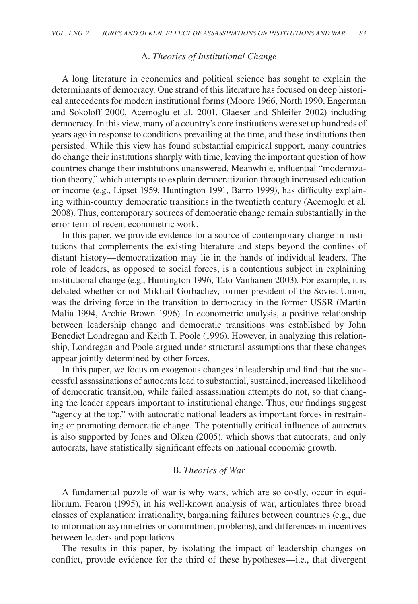# A. *Theories of Institutional Change*

A long literature in economics and political science has sought to explain the determinants of democracy. One strand of this literature has focused on deep historical antecedents for modern institutional forms (Moore 1966, North 1990, Engerman and Sokoloff 2000, Acemoglu et al. 2001, Glaeser and Shleifer 2002) including democracy. In this view, many of a country's core institutions were set up hundreds of years ago in response to conditions prevailing at the time, and these institutions then persisted. While this view has found substantial empirical support, many countries do change their institutions sharply with time, leaving the important question of how countries change their institutions unanswered. Meanwhile, influential "modernization theory," which attempts to explain democratization through increased education or income (e.g., Lipset 1959, Huntington 1991, Barro 1999), has difficulty explaining within-country democratic transitions in the twentieth century (Acemoglu et al. 2008). Thus, contemporary sources of democratic change remain substantially in the error term of recent econometric work.

In this paper, we provide evidence for a source of contemporary change in institutions that complements the existing literature and steps beyond the confines of distant history—democratization may lie in the hands of individual leaders. The role of leaders, as opposed to social forces, is a contentious subject in explaining institutional change (e.g., Huntington 1996, Tato Vanhanen 2003). For example, it is debated whether or not Mikhail Gorbachev, former president of the Soviet Union, was the driving force in the transition to democracy in the former USSR (Martin Malia 1994, Archie Brown 1996). In econometric analysis, a positive relationship between leadership change and democratic transitions was established by John Benedict Londregan and Keith T. Poole (1996). However, in analyzing this relationship, Londregan and Poole argued under structural assumptions that these changes appear jointly determined by other forces.

In this paper, we focus on exogenous changes in leadership and find that the successful assassinations of autocrats lead to substantial, sustained, increased likelihood of democratic transition, while failed assassination attempts do not, so that changing the leader appears important to institutional change. Thus, our findings suggest "agency at the top," with autocratic national leaders as important forces in restraining or promoting democratic change. The potentially critical influence of autocrats is also supported by Jones and Olken (2005), which shows that autocrats, and only autocrats, have statistically significant effects on national economic growth.

# B. *Theories of War*

A fundamental puzzle of war is why wars, which are so costly, occur in equilibrium. Fearon (1995), in his well-known analysis of war, articulates three broad classes of explanation: irrationality, bargaining failures between countries (e.g., due to information asymmetries or commitment problems), and differences in incentives between leaders and populations.

The results in this paper, by isolating the impact of leadership changes on conflict, provide evidence for the third of these hypotheses—i.e., that divergent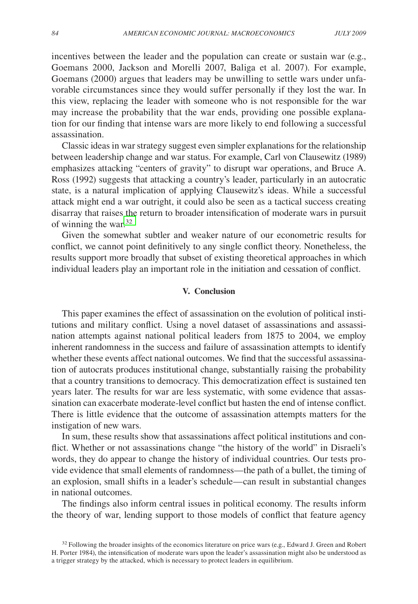incentives between the leader and the population can create or sustain war (e.g., Goemans 2000, Jackson and Morelli 2007, Baliga et al. 2007). For example, Goemans (2000) argues that leaders may be unwilling to settle wars under unfavorable circumstances since they would suffer personally if they lost the war. In this view, replacing the leader with someone who is not responsible for the war may increase the probability that the war ends, providing one possible explanation for our finding that intense wars are more likely to end following a successful assassination.

Classic ideas in war strategy suggest even simpler explanations for the relationship between leadership change and war status. For example, Carl von Clausewitz (1989) emphasizes attacking "centers of gravity" to disrupt war operations, and Bruce A. Ross (1992) suggests that attacking a country's leader, particularly in an autocratic state, is a natural implication of applying Clausewitz's ideas. While a successful attack might end a war outright, it could also be seen as a tactical success creating disarray that raises the return to broader intensification of moderate wars in pursuit of winning the war.32

Given the somewhat subtler and weaker nature of our econometric results for conflict, we cannot point definitively to any single conflict theory. Nonetheless, the results support more broadly that subset of existing theoretical approaches in which individual leaders play an important role in the initiation and cessation of conflict.

## **V. Conclusion**

This paper examines the effect of assassination on the evolution of political institutions and military conflict. Using a novel dataset of assassinations and assassination attempts against national political leaders from 1875 to 2004, we employ inherent randomness in the success and failure of assassination attempts to identify whether these events affect national outcomes. We find that the successful assassination of autocrats produces institutional change, substantially raising the probability that a country transitions to democracy. This democratization effect is sustained ten years later. The results for war are less systematic, with some evidence that assassination can exacerbate moderate-level conflict but hasten the end of intense conflict. There is little evidence that the outcome of assassination attempts matters for the instigation of new wars.

In sum, these results show that assassinations affect political institutions and conflict. Whether or not assassinations change "the history of the world" in Disraeli's words, they do appear to change the history of individual countries. Our tests provide evidence that small elements of randomness—the path of a bullet, the timing of an explosion, small shifts in a leader's schedule—can result in substantial changes in national outcomes.

The findings also inform central issues in political economy. The results inform the theory of war, lending support to those models of conflict that feature agency

 $32$  Following the broader insights of the economics literature on price wars (e.g., Edward J. Green and Robert H. Porter 1984), the intensification of moderate wars upon the leader's assassination might also be understood as a trigger strategy by the attacked, which is necessary to protect leaders in equilibrium.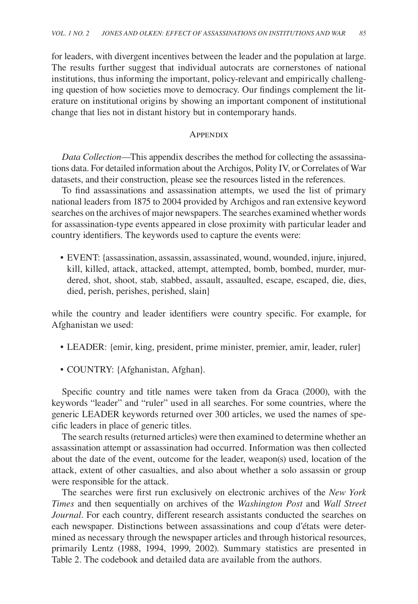for leaders, with divergent incentives between the leader and the population at large. The results further suggest that individual autocrats are cornerstones of national institutions, thus informing the important, policy-relevant and empirically challenging question of how societies move to democracy. Our findings complement the literature on institutional origins by showing an important component of institutional change that lies not in distant history but in contemporary hands.

# Appendix

*Data Collection*—This appendix describes the method for collecting the assassinations data. For detailed information about the Archigos, Polity IV, or Correlates of War datasets, and their construction, please see the resources listed in the references.

To find assassinations and assassination attempts, we used the list of primary national leaders from 1875 to 2004 provided by Archigos and ran extensive keyword searches on the archives of major newspapers. The searches examined whether words for assassination-type events appeared in close proximity with particular leader and country identifiers. The keywords used to capture the events were:

• EVENT: {assassination, assassin, assassinated, wound, wounded, injure, injured, kill, killed, attack, attacked, attempt, attempted, bomb, bombed, murder, murdered, shot, shoot, stab, stabbed, assault, assaulted, escape, escaped, die, dies, died, perish, perishes, perished, slain}

while the country and leader identifiers were country specific. For example, for Afghanistan we used:

- LEADER: {emir, king, president, prime minister, premier, amir, leader, ruler}
- COUNTRY: {Afghanistan, Afghan}.

Specific country and title names were taken from da Graca (2000), with the keywords "leader" and "ruler" used in all searches. For some countries, where the generic LEADER keywords returned over 300 articles, we used the names of specific leaders in place of generic titles.

The search results (returned articles) were then examined to determine whether an assassination attempt or assassination had occurred. Information was then collected about the date of the event, outcome for the leader, weapon(s) used, location of the attack, extent of other casualties, and also about whether a solo assassin or group were responsible for the attack.

The searches were first run exclusively on electronic archives of the *New York Times* and then sequentially on archives of the *Washington Post* and *Wall Street Journal*. For each country, different research assistants conducted the searches on each newspaper. Distinctions between assassinations and coup d'états were determined as necessary through the newspaper articles and through historical resources, primarily Lentz (1988, 1994, 1999, 2002). Summary statistics are presented in Table 2. The codebook and detailed data are available from the authors.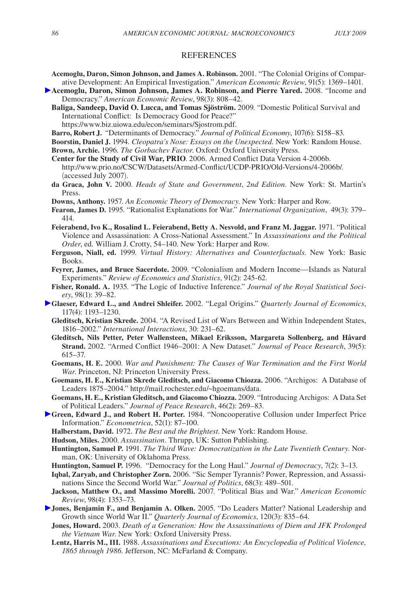#### **REFERENCES**

- **Acemoglu, Daron, Simon Johnson, and James A. Robinson.** 2001. "The Colonial Origins of Comparative Development: An Empirical Investigation." *American Economic Review*, 91(5): 1369–1401.
- **Acemoglu, Daron, Simon Johnson, James A. Robinson, and Pierre Yared.** 2008. "Income and Democracy." *American Economic Review*, 98(3): 808–42.
	- **Baliga, Sandeep, David O. Lucca, and Tomas Sjöström.** 2009. "Domestic Political Survival and International Conflict: Is Democracy Good for Peace?"

https://www.biz.uiowa.edu/econ/seminars/Sjostrom.pdf.

- **Barro, Robert J.** "Determinants of Democracy." *Journal of Political Economy*, 107(6): S158–83.
- **Boorstin, Daniel J.** 1994. *Cleopatra's Nose: Essays on the Unexpected*. New York: Random House.
- **Brown, Archie.** 1996. *The Gorbachev Factor*. Oxford: Oxford University Press.
- **Center for the Study of Civil War, PRIO**. 2006. Armed Conflict Data Version 4-2006b. http://www.prio.no/CSCW/Datasets/Armed-Conflict/UCDP-PRIO/Old-Versions/4-2006b/. (accessed July 2007).
- **da Graca, John V.** 2000. *Heads of State and Government*, *2nd Edition*. New York: St. Martin's Press.
- **Downs, Anthony.** 1957. *An Economic Theory of Democracy*. New York: Harper and Row.
- **Fearon, James D.** 1995. "Rationalist Explanations for War." *International Organization*, 49(3): 379– 414.
- **Feierabend, Ivo K., Rosalind L. Feierabend, Betty A. Nesvold, and Franz M. Jaggar.** 1971. "Political Violence and Assassination: A Cross-National Assessment." In *Assassinations and the Political Order*, ed. William J. Crotty, 54–140. New York: Harper and Row.
- **Ferguson, Niall, ed.** 1999. *Virtual History: Alternatives and Counterfactuals*. New York: Basic Books.
- **Feyrer, James, and Bruce Sacerdote.** 2009. "Colonialism and Modern Income—Islands as Natural Experiments." *Review of Economics and Statistics*, 91(2): 245-62.
- **Fisher, Ronald. A.** 1935. "The Logic of Inductive Inference." *Journal of the Royal Statistical Society*, 98(1): 39–82.
- **Glaeser, Edward L., and Andrei Shleifer.** 2002. "Legal Origins." *Quarterly Journal of Economics*, 117(4): 1193–1230.
	- **Gleditsch, Kristian Skrede.** 2004. "A Revised List of Wars Between and Within Independent States, 1816–2002." *International Interactions*, 30: 231–62.
	- **Gleditsch, Nils Petter, Peter Wallensteen, Mikael Eriksson, Margareta Sollenberg, and Håvard Strand.** 2002. "Armed Conflict 1946–2001: A New Dataset." *Journal of Peace Research*, 39(5): 615–37.
	- **Goemans, H. E.** 2000. *War and Punishment: The Causes of War Termination and the First World War*. Princeton, NJ: Princeton University Press.
	- **Goemans, H. E., Kristian Skrede Gleditsch, and Giacomo Chiozza.** 2006. "Archigos: A Database of Leaders 1875–2004." http://mail.rochester.edu/~hgoemans/data.
	- **Goemans, H. E., Kristian Gleditsch, and Giacomo Chiozza.** 2009. "Introducing Archigos: A Data Set of Political Leaders." *Journal of Peace Research*, 46(2): 269–83.
- **Green, Edward J., and Robert H. Porter.** 1984. "Noncooperative Collusion under Imperfect Price Information." *Econometrica*, 52(1): 87–100.
	- **Halberstam, David.** 1972. *The Best and the Brightest*. New York: Random House.
	- **Hudson, Miles.** 2000. *Assassination*. Thrupp, UK: Sutton Publishing.
	- **Huntington, Samuel P.** 1991. *The Third Wave: Democratization in the Late Twentieth Century*. Norman, OK: University of Oklahoma Press.
	- **Huntington, Samuel P.** 1996. "Democracy for the Long Haul." *Journal of Democracy*, 7(2): 3–13.
	- **Iqbal, Zaryab, and Christopher Zorn.** 2006. "Sic Semper Tyrannis? Power, Repression, and Assassinations Since the Second World War." *Journal of Politics*, 68(3): 489–501.
	- **Jackson, Matthew O., and Massimo Morelli.** 2007. "Political Bias and War." *American Economic Review*, 98(4): 1353–73.
- **Jones, Benjamin F., and Benjamin A. Olken.** 2005. "Do Leaders Matter? National Leadership and Growth since World War II." *Quarterly Journal of Economics*, 120(3): 835–64.
	- **Jones, Howard.** 2003. *Death of a Generation: How the Assassinations of Diem and JFK Prolonged the Vietnam War*. New York: Oxford University Press.
	- **Lentz, Harris M., III.** 1988. *Assassinations and Executions: An Encyclopedia of Political Violence, 1865 through 1986*. Jefferson, NC: McFarland & Company.